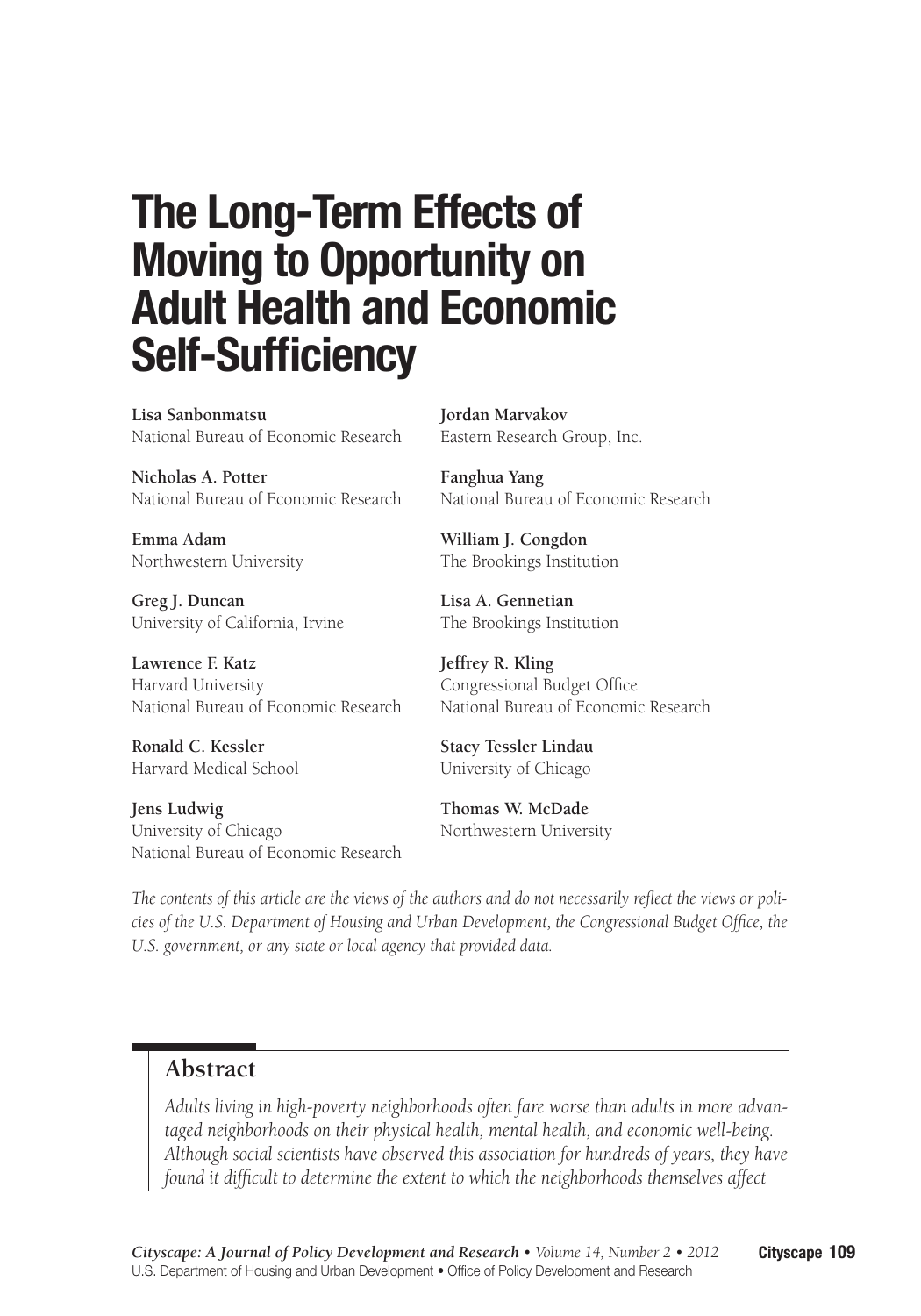# **The Long-Term Effects of Moving to Opportunity on Adult Health and Economic Self-Sufficiency**

**Lisa Sanbonmatsu** National Bureau of Economic Research

**Nicholas A. Potter** National Bureau of Economic Research

**Emma Adam** Northwestern University

**Greg J. Duncan** University of California, Irvine

**Lawrence F. Katz** Harvard University National Bureau of Economic Research

**Ronald C. Kessler** Harvard Medical School

**Jens Ludwig** University of Chicago National Bureau of Economic Research **Jordan Marvakov** Eastern Research Group, Inc.

**Fanghua Yang** National Bureau of Economic Research

**William J. Congdon** The Brookings Institution

**Lisa A. Gennetian** The Brookings Institution

**Jeffrey R. Kling** Congressional Budget Office National Bureau of Economic Research

**Stacy Tessler Lindau** University of Chicago

**Thomas W. McDade** Northwestern University

*The contents of this article are the views of the authors and do not necessarily reflect the views or policies of the U.S. Department of Housing and Urban Development, the Congressional Budget Office, the U.S. government, or any state or local agency that provided data.*

#### **Abstract**

*Adults living in high-poverty neighborhoods often fare worse than adults in more advantaged neighborhoods on their physical health, mental health, and economic well-being. Although social scientists have observed this association for hundreds of years, they have found it difficult to determine the extent to which the neighborhoods themselves affect*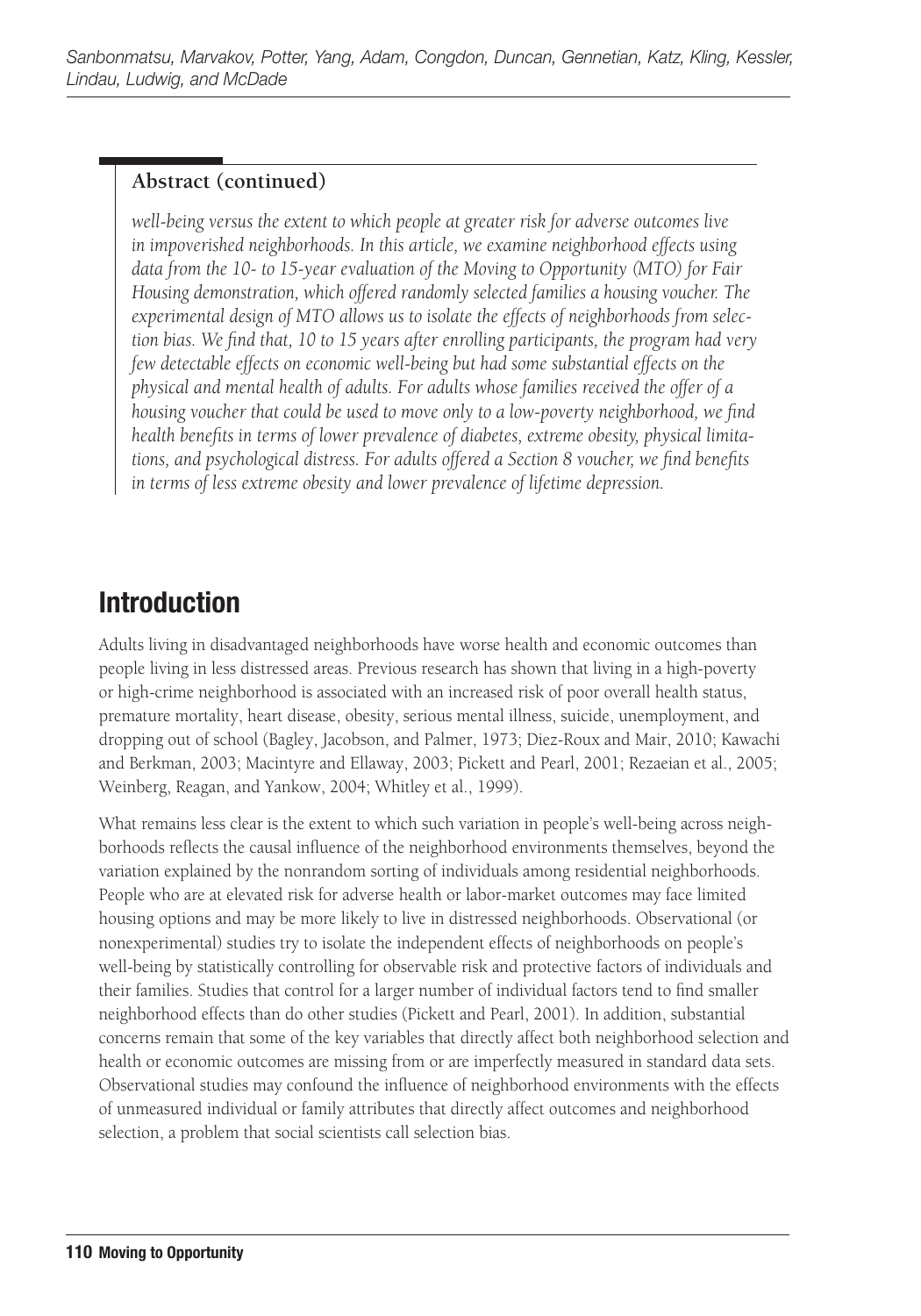#### **Abstract (continued)**

*well-being versus the extent to which people at greater risk for adverse outcomes live in impoverished neighborhoods. In this article, we examine neighborhood effects using data from the 10- to 15-year evaluation of the Moving to Opportunity (MTO) for Fair Housing demonstration, which offered randomly selected families a housing voucher. The experimental design of MTO allows us to isolate the effects of neighborhoods from selection bias. We find that, 10 to 15 years after enrolling participants, the program had very few detectable effects on economic well-being but had some substantial effects on the physical and mental health of adults. For adults whose families received the offer of a housing voucher that could be used to move only to a low-poverty neighborhood, we find health benefits in terms of lower prevalence of diabetes, extreme obesity, physical limitations, and psychological distress. For adults offered a Section 8 voucher, we find benefits in terms of less extreme obesity and lower prevalence of lifetime depression.*

# **Introduction**

Adults living in disadvantaged neighborhoods have worse health and economic outcomes than people living in less distressed areas. Previous research has shown that living in a high-poverty or high-crime neighborhood is associated with an increased risk of poor overall health status, premature mortality, heart disease, obesity, serious mental illness, suicide, unemployment, and dropping out of school (Bagley, Jacobson, and Palmer, 1973; Diez-Roux and Mair, 2010; Kawachi and Berkman, 2003; Macintyre and Ellaway, 2003; Pickett and Pearl, 2001; Rezaeian et al., 2005; Weinberg, Reagan, and Yankow, 2004; Whitley et al., 1999).

What remains less clear is the extent to which such variation in people's well-being across neighborhoods reflects the causal influence of the neighborhood environments themselves, beyond the variation explained by the nonrandom sorting of individuals among residential neighborhoods. People who are at elevated risk for adverse health or labor-market outcomes may face limited housing options and may be more likely to live in distressed neighborhoods. Observational (or nonexperimental) studies try to isolate the independent effects of neighborhoods on people's well-being by statistically controlling for observable risk and protective factors of individuals and their families. Studies that control for a larger number of individual factors tend to find smaller neighborhood effects than do other studies (Pickett and Pearl, 2001). In addition, substantial concerns remain that some of the key variables that directly affect both neighborhood selection and health or economic outcomes are missing from or are imperfectly measured in standard data sets. Observational studies may confound the influence of neighborhood environments with the effects of unmeasured individual or family attributes that directly affect outcomes and neighborhood selection, a problem that social scientists call selection bias.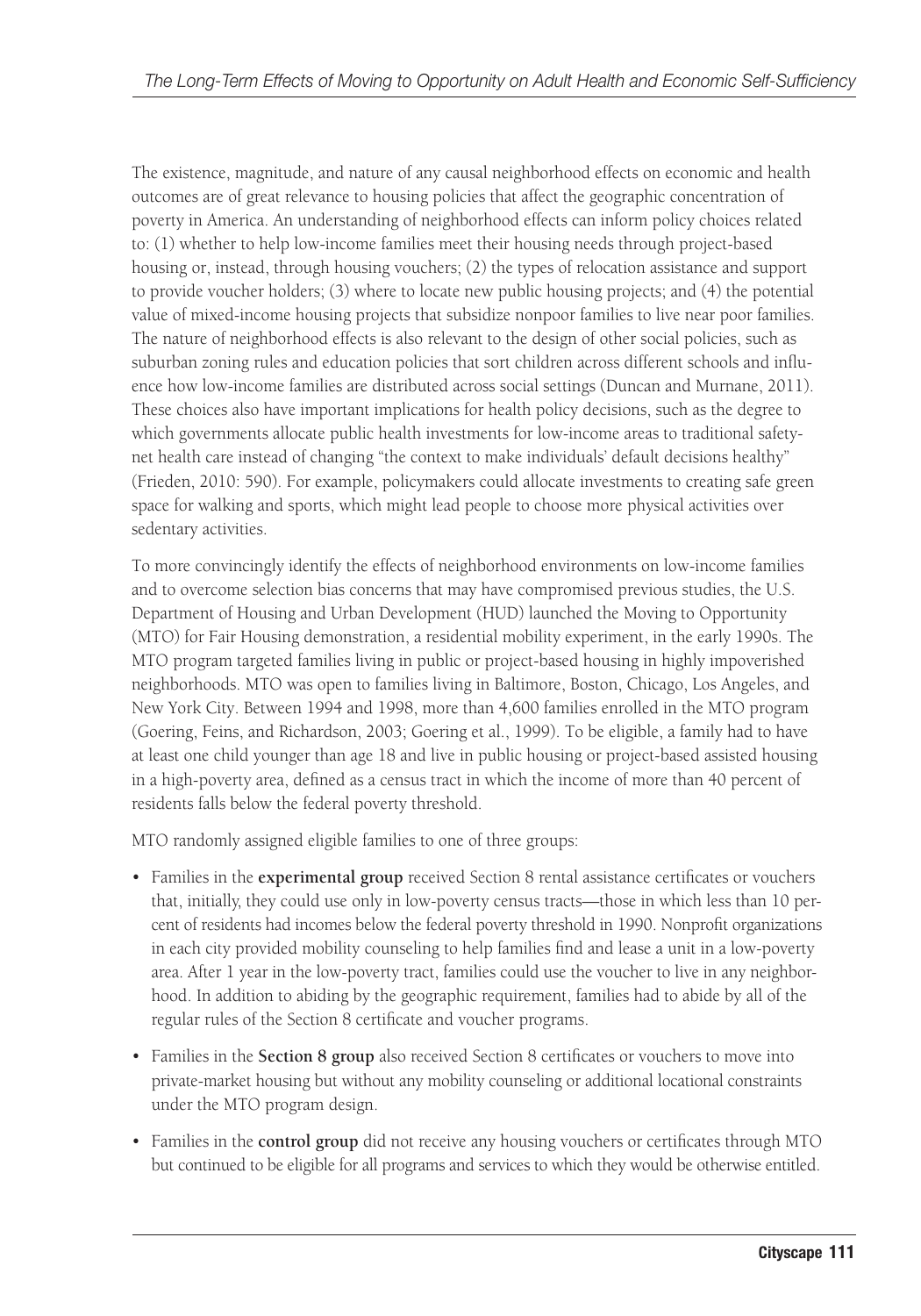The existence, magnitude, and nature of any causal neighborhood effects on economic and health outcomes are of great relevance to housing policies that affect the geographic concentration of poverty in America. An understanding of neighborhood effects can inform policy choices related to: (1) whether to help low-income families meet their housing needs through project-based housing or, instead, through housing vouchers; (2) the types of relocation assistance and support to provide voucher holders; (3) where to locate new public housing projects; and (4) the potential value of mixed-income housing projects that subsidize nonpoor families to live near poor families. The nature of neighborhood effects is also relevant to the design of other social policies, such as suburban zoning rules and education policies that sort children across different schools and influence how low-income families are distributed across social settings (Duncan and Murnane, 2011). These choices also have important implications for health policy decisions, such as the degree to which governments allocate public health investments for low-income areas to traditional safetynet health care instead of changing "the context to make individuals' default decisions healthy" (Frieden, 2010: 590). For example, policymakers could allocate investments to creating safe green space for walking and sports, which might lead people to choose more physical activities over sedentary activities.

To more convincingly identify the effects of neighborhood environments on low-income families and to overcome selection bias concerns that may have compromised previous studies, the U.S. Department of Housing and Urban Development (HUD) launched the Moving to Opportunity (MTO) for Fair Housing demonstration, a residential mobility experiment, in the early 1990s. The MTO program targeted families living in public or project-based housing in highly impoverished neighborhoods. MTO was open to families living in Baltimore, Boston, Chicago, Los Angeles, and New York City. Between 1994 and 1998, more than 4,600 families enrolled in the MTO program (Goering, Feins, and Richardson, 2003; Goering et al., 1999). To be eligible, a family had to have at least one child younger than age 18 and live in public housing or project-based assisted housing in a high-poverty area, defined as a census tract in which the income of more than 40 percent of residents falls below the federal poverty threshold.

MTO randomly assigned eligible families to one of three groups:

- Families in the **experimental group** received Section 8 rental assistance certificates or vouchers that, initially, they could use only in low-poverty census tracts—those in which less than 10 percent of residents had incomes below the federal poverty threshold in 1990. Nonprofit organizations in each city provided mobility counseling to help families find and lease a unit in a low-poverty area. After 1 year in the low-poverty tract, families could use the voucher to live in any neighborhood. In addition to abiding by the geographic requirement, families had to abide by all of the regular rules of the Section 8 certificate and voucher programs.
- Families in the **Section 8 group** also received Section 8 certificates or vouchers to move into private-market housing but without any mobility counseling or additional locational constraints under the MTO program design.
- Families in the **control group** did not receive any housing vouchers or certificates through MTO but continued to be eligible for all programs and services to which they would be otherwise entitled.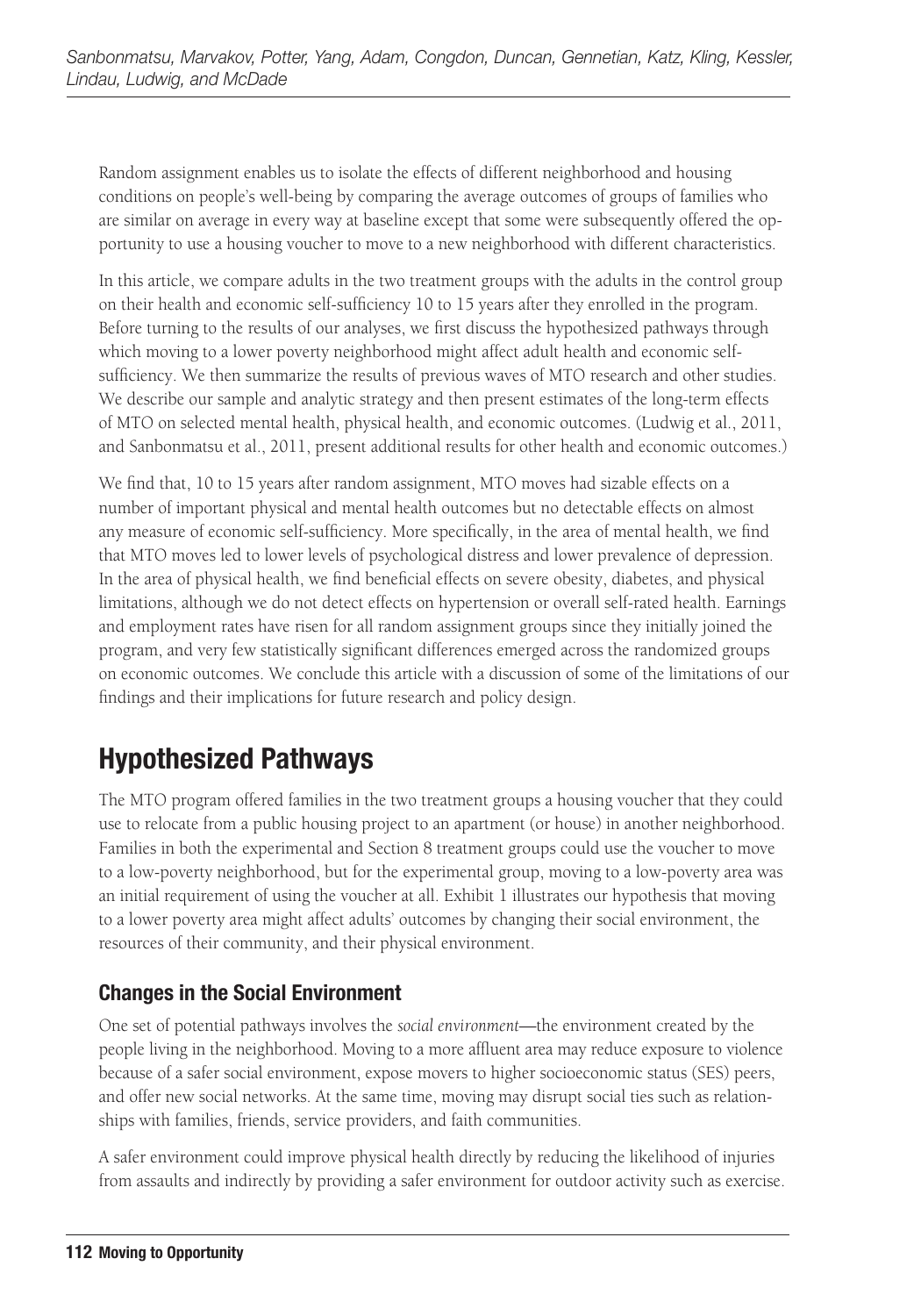Random assignment enables us to isolate the effects of different neighborhood and housing conditions on people's well-being by comparing the average outcomes of groups of families who are similar on average in every way at baseline except that some were subsequently offered the opportunity to use a housing voucher to move to a new neighborhood with different characteristics.

In this article, we compare adults in the two treatment groups with the adults in the control group on their health and economic self-sufficiency 10 to 15 years after they enrolled in the program. Before turning to the results of our analyses, we first discuss the hypothesized pathways through which moving to a lower poverty neighborhood might affect adult health and economic selfsufficiency. We then summarize the results of previous waves of MTO research and other studies. We describe our sample and analytic strategy and then present estimates of the long-term effects of MTO on selected mental health, physical health, and economic outcomes. (Ludwig et al., 2011, and Sanbonmatsu et al., 2011, present additional results for other health and economic outcomes.)

We find that, 10 to 15 years after random assignment, MTO moves had sizable effects on a number of important physical and mental health outcomes but no detectable effects on almost any measure of economic self-sufficiency. More specifically, in the area of mental health, we find that MTO moves led to lower levels of psychological distress and lower prevalence of depression. In the area of physical health, we find beneficial effects on severe obesity, diabetes, and physical limitations, although we do not detect effects on hypertension or overall self-rated health. Earnings and employment rates have risen for all random assignment groups since they initially joined the program, and very few statistically significant differences emerged across the randomized groups on economic outcomes. We conclude this article with a discussion of some of the limitations of our findings and their implications for future research and policy design.

# **Hypothesized Pathways**

The MTO program offered families in the two treatment groups a housing voucher that they could use to relocate from a public housing project to an apartment (or house) in another neighborhood. Families in both the experimental and Section 8 treatment groups could use the voucher to move to a low-poverty neighborhood, but for the experimental group, moving to a low-poverty area was an initial requirement of using the voucher at all. Exhibit 1 illustrates our hypothesis that moving to a lower poverty area might affect adults' outcomes by changing their social environment, the resources of their community, and their physical environment.

### **Changes in the Social Environment**

One set of potential pathways involves the *social environment*—the environment created by the people living in the neighborhood. Moving to a more affluent area may reduce exposure to violence because of a safer social environment, expose movers to higher socioeconomic status (SES) peers, and offer new social networks. At the same time, moving may disrupt social ties such as relationships with families, friends, service providers, and faith communities.

A safer environment could improve physical health directly by reducing the likelihood of injuries from assaults and indirectly by providing a safer environment for outdoor activity such as exercise.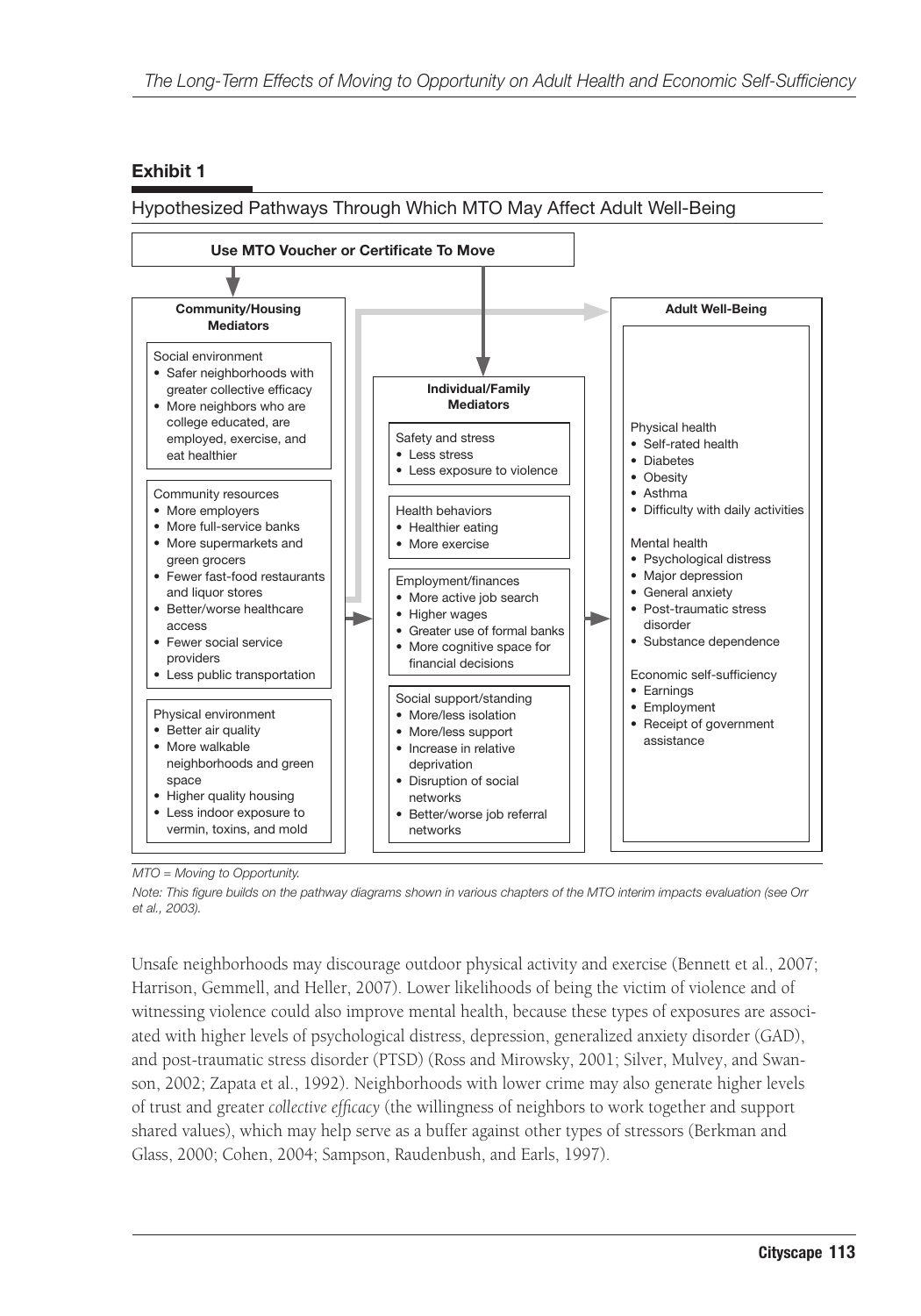#### **Exhibit 1**

Hypothesized Pathways Through Which MTO May Affect Adult Well-Being



*MTO = Moving to Opportunity.*

*Note: This figure builds on the pathway diagrams shown in various chapters of the MTO interim impacts evaluation (see Orr et al., 2003).*

Unsafe neighborhoods may discourage outdoor physical activity and exercise (Bennett et al., 2007; Harrison, Gemmell, and Heller, 2007). Lower likelihoods of being the victim of violence and of witnessing violence could also improve mental health, because these types of exposures are associated with higher levels of psychological distress, depression, generalized anxiety disorder (GAD), and post-traumatic stress disorder (PTSD) (Ross and Mirowsky, 2001; Silver, Mulvey, and Swanson, 2002; Zapata et al., 1992). Neighborhoods with lower crime may also generate higher levels of trust and greater *collective efficacy* (the willingness of neighbors to work together and support shared values), which may help serve as a buffer against other types of stressors (Berkman and Glass, 2000; Cohen, 2004; Sampson, Raudenbush, and Earls, 1997).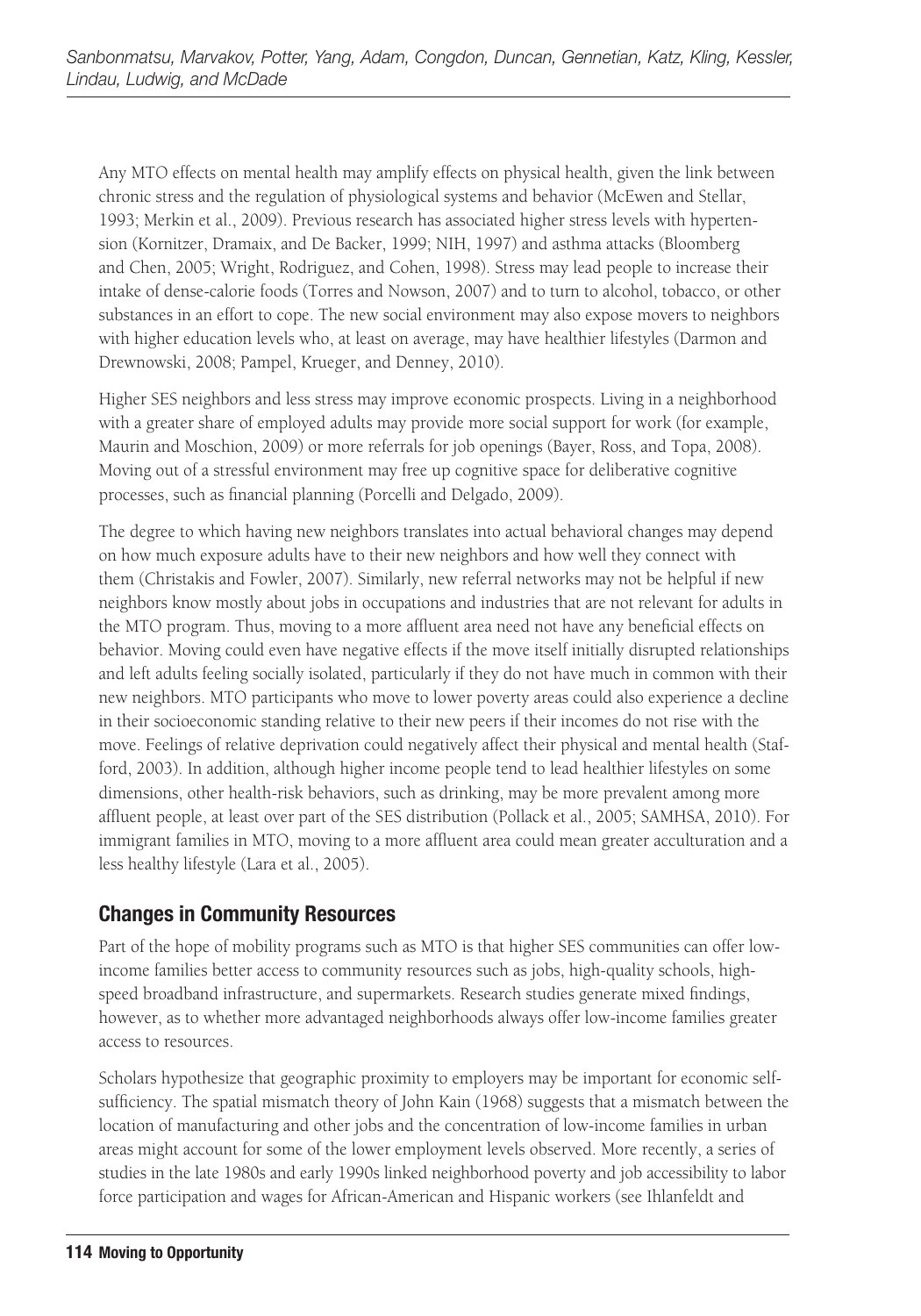Any MTO effects on mental health may amplify effects on physical health, given the link between chronic stress and the regulation of physiological systems and behavior (McEwen and Stellar, 1993; Merkin et al., 2009). Previous research has associated higher stress levels with hypertension (Kornitzer, Dramaix, and De Backer, 1999; NIH, 1997) and asthma attacks (Bloomberg and Chen, 2005; Wright, Rodriguez, and Cohen, 1998). Stress may lead people to increase their intake of dense-calorie foods (Torres and Nowson, 2007) and to turn to alcohol, tobacco, or other substances in an effort to cope. The new social environment may also expose movers to neighbors with higher education levels who, at least on average, may have healthier lifestyles (Darmon and Drewnowski, 2008; Pampel, Krueger, and Denney, 2010).

Higher SES neighbors and less stress may improve economic prospects. Living in a neighborhood with a greater share of employed adults may provide more social support for work (for example, Maurin and Moschion, 2009) or more referrals for job openings (Bayer, Ross, and Topa, 2008). Moving out of a stressful environment may free up cognitive space for deliberative cognitive processes, such as financial planning (Porcelli and Delgado, 2009).

The degree to which having new neighbors translates into actual behavioral changes may depend on how much exposure adults have to their new neighbors and how well they connect with them (Christakis and Fowler, 2007). Similarly, new referral networks may not be helpful if new neighbors know mostly about jobs in occupations and industries that are not relevant for adults in the MTO program. Thus, moving to a more affluent area need not have any beneficial effects on behavior. Moving could even have negative effects if the move itself initially disrupted relationships and left adults feeling socially isolated, particularly if they do not have much in common with their new neighbors. MTO participants who move to lower poverty areas could also experience a decline in their socioeconomic standing relative to their new peers if their incomes do not rise with the move. Feelings of relative deprivation could negatively affect their physical and mental health (Stafford, 2003). In addition, although higher income people tend to lead healthier lifestyles on some dimensions, other health-risk behaviors, such as drinking, may be more prevalent among more affluent people, at least over part of the SES distribution (Pollack et al., 2005; SAMHSA, 2010). For immigrant families in MTO, moving to a more affluent area could mean greater acculturation and a less healthy lifestyle (Lara et al., 2005).

#### **Changes in Community Resources**

Part of the hope of mobility programs such as MTO is that higher SES communities can offer lowincome families better access to community resources such as jobs, high-quality schools, highspeed broadband infrastructure, and supermarkets. Research studies generate mixed findings, however, as to whether more advantaged neighborhoods always offer low-income families greater access to resources.

Scholars hypothesize that geographic proximity to employers may be important for economic selfsufficiency. The spatial mismatch theory of John Kain (1968) suggests that a mismatch between the location of manufacturing and other jobs and the concentration of low-income families in urban areas might account for some of the lower employment levels observed. More recently, a series of studies in the late 1980s and early 1990s linked neighborhood poverty and job accessibility to labor force participation and wages for African-American and Hispanic workers (see Ihlanfeldt and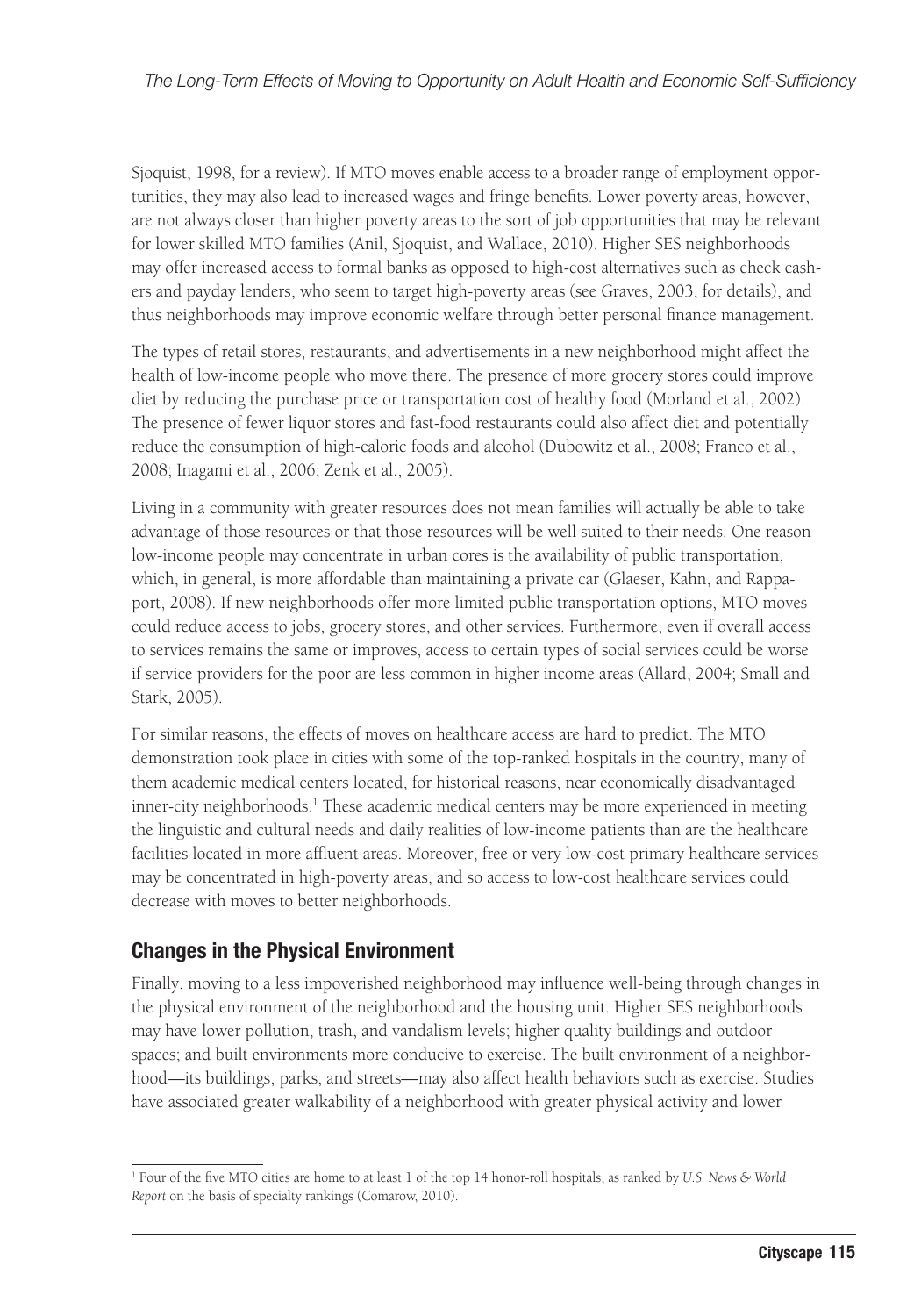Sjoquist, 1998, for a review). If MTO moves enable access to a broader range of employment opportunities, they may also lead to increased wages and fringe benefits. Lower poverty areas, however, are not always closer than higher poverty areas to the sort of job opportunities that may be relevant for lower skilled MTO families (Anil, Sjoquist, and Wallace, 2010). Higher SES neighborhoods may offer increased access to formal banks as opposed to high-cost alternatives such as check cashers and payday lenders, who seem to target high-poverty areas (see Graves, 2003, for details), and thus neighborhoods may improve economic welfare through better personal finance management.

The types of retail stores, restaurants, and advertisements in a new neighborhood might affect the health of low-income people who move there. The presence of more grocery stores could improve diet by reducing the purchase price or transportation cost of healthy food (Morland et al., 2002). The presence of fewer liquor stores and fast-food restaurants could also affect diet and potentially reduce the consumption of high-caloric foods and alcohol (Dubowitz et al., 2008; Franco et al., 2008; Inagami et al., 2006; Zenk et al., 2005).

Living in a community with greater resources does not mean families will actually be able to take advantage of those resources or that those resources will be well suited to their needs. One reason low-income people may concentrate in urban cores is the availability of public transportation, which, in general, is more affordable than maintaining a private car (Glaeser, Kahn, and Rappaport, 2008). If new neighborhoods offer more limited public transportation options, MTO moves could reduce access to jobs, grocery stores, and other services. Furthermore, even if overall access to services remains the same or improves, access to certain types of social services could be worse if service providers for the poor are less common in higher income areas (Allard, 2004; Small and Stark, 2005).

For similar reasons, the effects of moves on healthcare access are hard to predict. The MTO demonstration took place in cities with some of the top-ranked hospitals in the country, many of them academic medical centers located, for historical reasons, near economically disadvantaged inner-city neighborhoods.<sup>1</sup> These academic medical centers may be more experienced in meeting the linguistic and cultural needs and daily realities of low-income patients than are the healthcare facilities located in more affluent areas. Moreover, free or very low-cost primary healthcare services may be concentrated in high-poverty areas, and so access to low-cost healthcare services could decrease with moves to better neighborhoods.

#### **Changes in the Physical Environment**

Finally, moving to a less impoverished neighborhood may influence well-being through changes in the physical environment of the neighborhood and the housing unit. Higher SES neighborhoods may have lower pollution, trash, and vandalism levels; higher quality buildings and outdoor spaces; and built environments more conducive to exercise. The built environment of a neighborhood—its buildings, parks, and streets—may also affect health behaviors such as exercise. Studies have associated greater walkability of a neighborhood with greater physical activity and lower

<sup>1</sup> Four of the five MTO cities are home to at least 1 of the top 14 honor-roll hospitals, as ranked by *U.S. News & World Report* on the basis of specialty rankings (Comarow, 2010).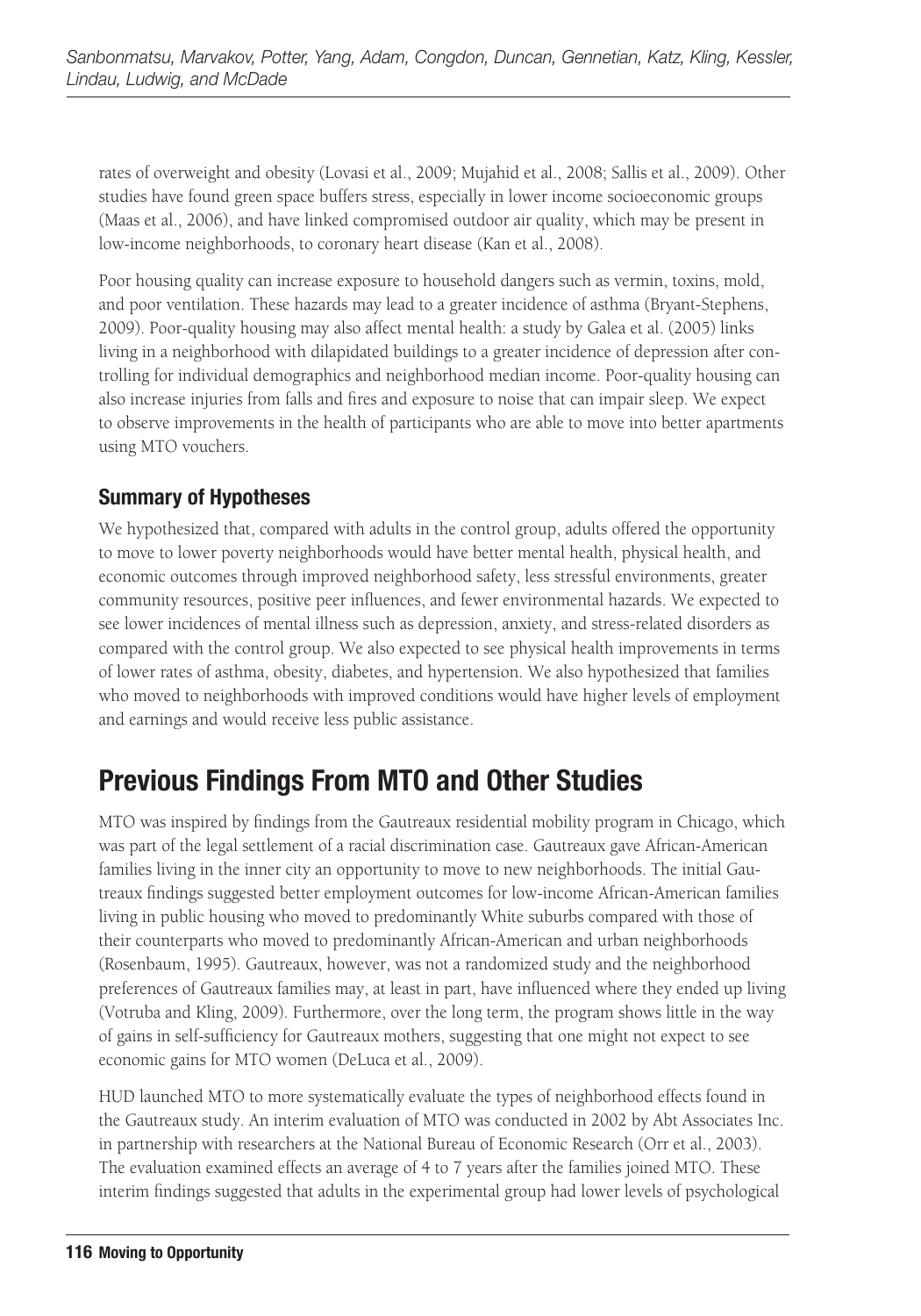rates of overweight and obesity (Lovasi et al., 2009; Mujahid et al., 2008; Sallis et al., 2009). Other studies have found green space buffers stress, especially in lower income socioeconomic groups (Maas et al., 2006), and have linked compromised outdoor air quality, which may be present in low-income neighborhoods, to coronary heart disease (Kan et al., 2008).

Poor housing quality can increase exposure to household dangers such as vermin, toxins, mold, and poor ventilation. These hazards may lead to a greater incidence of asthma (Bryant-Stephens, 2009). Poor-quality housing may also affect mental health: a study by Galea et al. (2005) links living in a neighborhood with dilapidated buildings to a greater incidence of depression after controlling for individual demographics and neighborhood median income. Poor-quality housing can also increase injuries from falls and fires and exposure to noise that can impair sleep. We expect to observe improvements in the health of participants who are able to move into better apartments using MTO vouchers.

#### **Summary of Hypotheses**

We hypothesized that, compared with adults in the control group, adults offered the opportunity to move to lower poverty neighborhoods would have better mental health, physical health, and economic outcomes through improved neighborhood safety, less stressful environments, greater community resources, positive peer influences, and fewer environmental hazards. We expected to see lower incidences of mental illness such as depression, anxiety, and stress-related disorders as compared with the control group. We also expected to see physical health improvements in terms of lower rates of asthma, obesity, diabetes, and hypertension. We also hypothesized that families who moved to neighborhoods with improved conditions would have higher levels of employment and earnings and would receive less public assistance.

### **Previous Findings From MTO and Other Studies**

MTO was inspired by findings from the Gautreaux residential mobility program in Chicago, which was part of the legal settlement of a racial discrimination case. Gautreaux gave African-American families living in the inner city an opportunity to move to new neighborhoods. The initial Gautreaux findings suggested better employment outcomes for low-income African-American families living in public housing who moved to predominantly White suburbs compared with those of their counterparts who moved to predominantly African-American and urban neighborhoods (Rosenbaum, 1995). Gautreaux, however, was not a randomized study and the neighborhood preferences of Gautreaux families may, at least in part, have influenced where they ended up living (Votruba and Kling, 2009). Furthermore, over the long term, the program shows little in the way of gains in self-sufficiency for Gautreaux mothers, suggesting that one might not expect to see economic gains for MTO women (DeLuca et al., 2009).

HUD launched MTO to more systematically evaluate the types of neighborhood effects found in the Gautreaux study. An interim evaluation of MTO was conducted in 2002 by Abt Associates Inc. in partnership with researchers at the National Bureau of Economic Research (Orr et al., 2003). The evaluation examined effects an average of 4 to 7 years after the families joined MTO. These interim findings suggested that adults in the experimental group had lower levels of psychological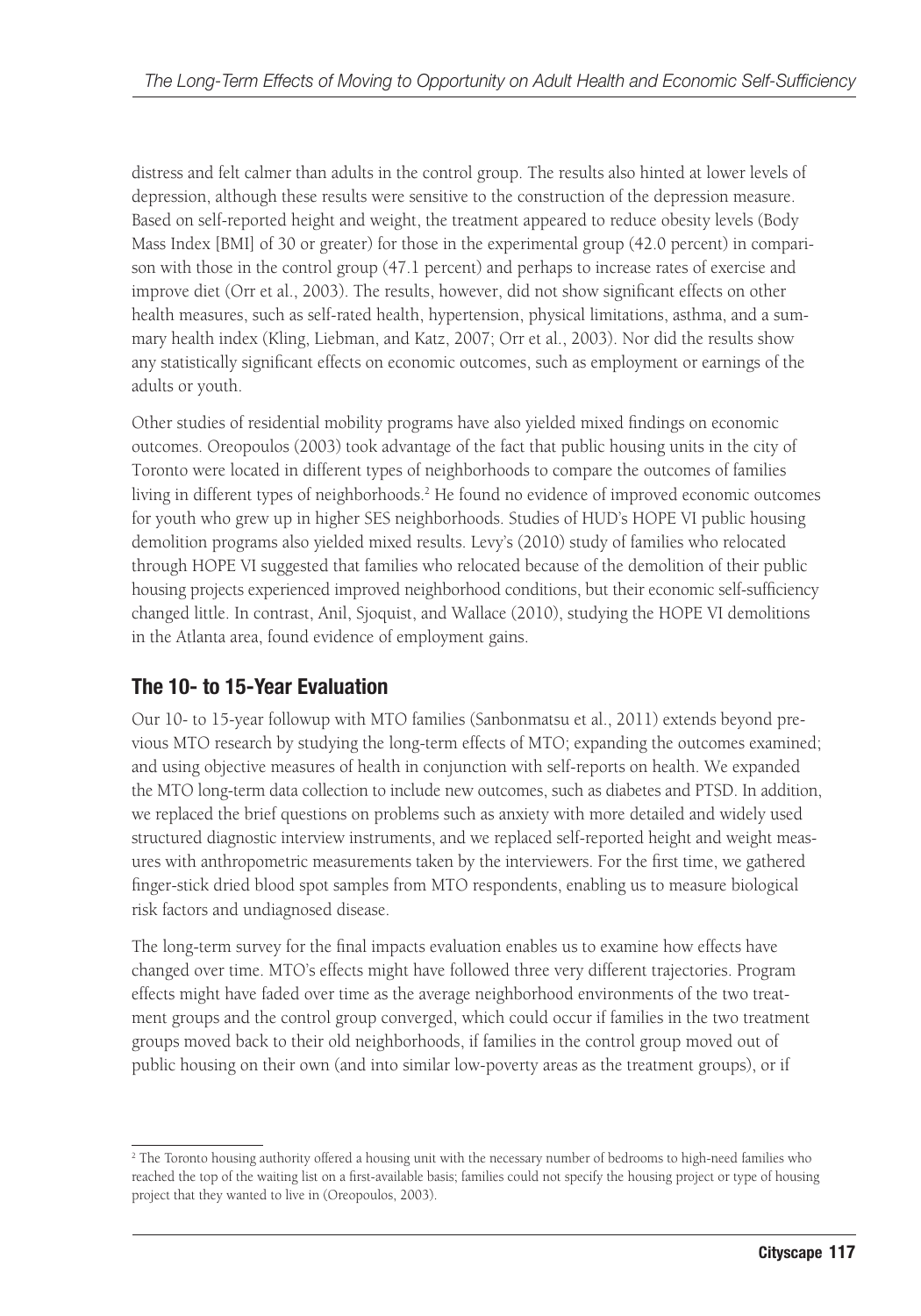distress and felt calmer than adults in the control group. The results also hinted at lower levels of depression, although these results were sensitive to the construction of the depression measure. Based on self-reported height and weight, the treatment appeared to reduce obesity levels (Body Mass Index [BMI] of 30 or greater) for those in the experimental group (42.0 percent) in comparison with those in the control group (47.1 percent) and perhaps to increase rates of exercise and improve diet (Orr et al., 2003). The results, however, did not show significant effects on other health measures, such as self-rated health, hypertension, physical limitations, asthma, and a summary health index (Kling, Liebman, and Katz, 2007; Orr et al., 2003). Nor did the results show any statistically significant effects on economic outcomes, such as employment or earnings of the adults or youth.

Other studies of residential mobility programs have also yielded mixed findings on economic outcomes. Oreopoulos (2003) took advantage of the fact that public housing units in the city of Toronto were located in different types of neighborhoods to compare the outcomes of families living in different types of neighborhoods.<sup>2</sup> He found no evidence of improved economic outcomes for youth who grew up in higher SES neighborhoods. Studies of HUD's HOPE VI public housing demolition programs also yielded mixed results. Levy's (2010) study of families who relocated through HOPE VI suggested that families who relocated because of the demolition of their public housing projects experienced improved neighborhood conditions, but their economic self-sufficiency changed little. In contrast, Anil, Sjoquist, and Wallace (2010), studying the HOPE VI demolitions in the Atlanta area, found evidence of employment gains.

### **The 10- to 15-Year Evaluation**

Our 10- to 15-year followup with MTO families (Sanbonmatsu et al., 2011) extends beyond previous MTO research by studying the long-term effects of MTO; expanding the outcomes examined; and using objective measures of health in conjunction with self-reports on health. We expanded the MTO long-term data collection to include new outcomes, such as diabetes and PTSD. In addition, we replaced the brief questions on problems such as anxiety with more detailed and widely used structured diagnostic interview instruments, and we replaced self-reported height and weight measures with anthropometric measurements taken by the interviewers. For the first time, we gathered finger-stick dried blood spot samples from MTO respondents, enabling us to measure biological risk factors and undiagnosed disease.

The long-term survey for the final impacts evaluation enables us to examine how effects have changed over time. MTO's effects might have followed three very different trajectories. Program effects might have faded over time as the average neighborhood environments of the two treatment groups and the control group converged, which could occur if families in the two treatment groups moved back to their old neighborhoods, if families in the control group moved out of public housing on their own (and into similar low-poverty areas as the treatment groups), or if

<sup>2</sup> The Toronto housing authority offered a housing unit with the necessary number of bedrooms to high-need families who reached the top of the waiting list on a first-available basis; families could not specify the housing project or type of housing project that they wanted to live in (Oreopoulos, 2003).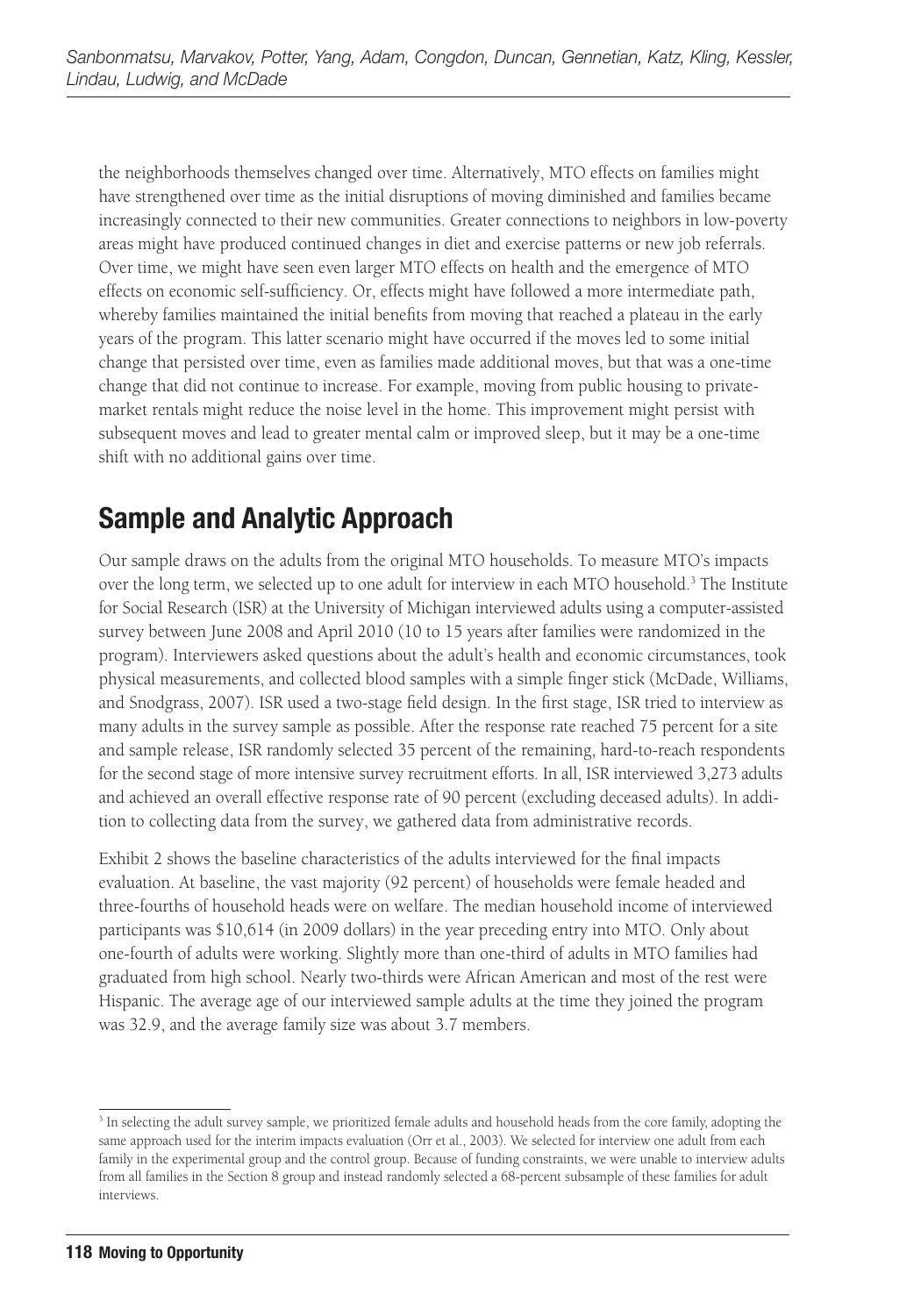the neighborhoods themselves changed over time. Alternatively, MTO effects on families might have strengthened over time as the initial disruptions of moving diminished and families became increasingly connected to their new communities. Greater connections to neighbors in low-poverty areas might have produced continued changes in diet and exercise patterns or new job referrals. Over time, we might have seen even larger MTO effects on health and the emergence of MTO effects on economic self-sufficiency. Or, effects might have followed a more intermediate path, whereby families maintained the initial benefits from moving that reached a plateau in the early years of the program. This latter scenario might have occurred if the moves led to some initial change that persisted over time, even as families made additional moves, but that was a one-time change that did not continue to increase. For example, moving from public housing to privatemarket rentals might reduce the noise level in the home. This improvement might persist with subsequent moves and lead to greater mental calm or improved sleep, but it may be a one-time shift with no additional gains over time.

# **Sample and Analytic Approach**

Our sample draws on the adults from the original MTO households. To measure MTO's impacts over the long term, we selected up to one adult for interview in each MTO household.<sup>3</sup> The Institute for Social Research (ISR) at the University of Michigan interviewed adults using a computer-assisted survey between June 2008 and April 2010 (10 to 15 years after families were randomized in the program). Interviewers asked questions about the adult's health and economic circumstances, took physical measurements, and collected blood samples with a simple finger stick (McDade, Williams, and Snodgrass, 2007). ISR used a two-stage field design. In the first stage, ISR tried to interview as many adults in the survey sample as possible. After the response rate reached 75 percent for a site and sample release, ISR randomly selected 35 percent of the remaining, hard-to-reach respondents for the second stage of more intensive survey recruitment efforts. In all, ISR interviewed 3,273 adults and achieved an overall effective response rate of 90 percent (excluding deceased adults). In addition to collecting data from the survey, we gathered data from administrative records.

Exhibit 2 shows the baseline characteristics of the adults interviewed for the final impacts evaluation. At baseline, the vast majority (92 percent) of households were female headed and three-fourths of household heads were on welfare. The median household income of interviewed participants was \$10,614 (in 2009 dollars) in the year preceding entry into MTO. Only about one-fourth of adults were working. Slightly more than one-third of adults in MTO families had graduated from high school. Nearly two-thirds were African American and most of the rest were Hispanic. The average age of our interviewed sample adults at the time they joined the program was 32.9, and the average family size was about 3.7 members.

<sup>&</sup>lt;sup>3</sup> In selecting the adult survey sample, we prioritized female adults and household heads from the core family, adopting the same approach used for the interim impacts evaluation (Orr et al., 2003). We selected for interview one adult from each family in the experimental group and the control group. Because of funding constraints, we were unable to interview adults from all families in the Section 8 group and instead randomly selected a 68-percent subsample of these families for adult interviews.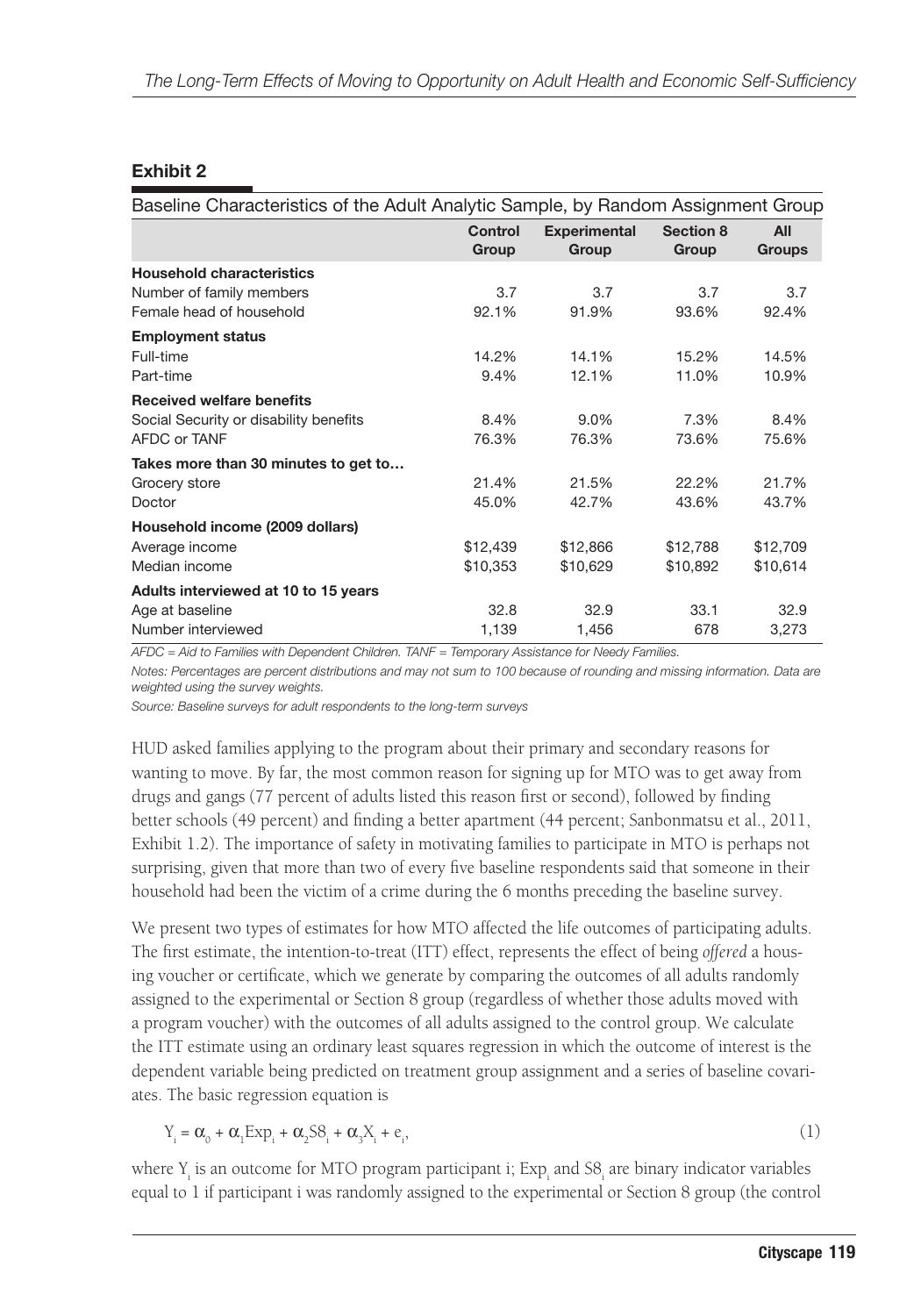#### **Exhibit 2**

| Baseline Characteristics of the Adult Analytic Sample, by Random Assignment Group           |                         |                              |                    |                      |
|---------------------------------------------------------------------------------------------|-------------------------|------------------------------|--------------------|----------------------|
|                                                                                             | <b>Control</b><br>Group | <b>Experimental</b><br>Group | Section 8<br>Group | All<br><b>Groups</b> |
| <b>Household characteristics</b>                                                            |                         |                              |                    |                      |
| Number of family members                                                                    | 3.7                     | 3.7                          | 3.7                | 3.7                  |
| Female head of household                                                                    | 92.1%                   | 91.9%                        | 93.6%              | 92.4%                |
| <b>Employment status</b>                                                                    |                         |                              |                    |                      |
| Full-time                                                                                   | 14.2%                   | 14.1%                        | 15.2%              | 14.5%                |
| Part-time                                                                                   | 9.4%                    | 12.1%                        | 11.0%              | 10.9%                |
| <b>Received welfare benefits</b>                                                            |                         |                              |                    |                      |
| Social Security or disability benefits                                                      | 8.4%                    | 9.0%                         | 7.3%               | 8.4%                 |
| AFDC or TANF                                                                                | 76.3%                   | 76.3%                        | 73.6%              | 75.6%                |
| Takes more than 30 minutes to get to                                                        |                         |                              |                    |                      |
| Grocery store                                                                               | 21.4%                   | 21.5%                        | 22.2%              | 21.7%                |
| Doctor                                                                                      | 45.0%                   | 42.7%                        | 43.6%              | 43.7%                |
| Household income (2009 dollars)                                                             |                         |                              |                    |                      |
| Average income                                                                              | \$12,439                | \$12,866                     | \$12,788           | \$12,709             |
| Median income                                                                               | \$10,353                | \$10,629                     | \$10,892           | \$10,614             |
| Adults interviewed at 10 to 15 years                                                        |                         |                              |                    |                      |
| Age at baseline                                                                             | 32.8                    | 32.9                         | 33.1               | 32.9                 |
| Number interviewed                                                                          | 1,139                   | 1,456                        | 678                | 3,273                |
| AEDO Aid to Femilian with Deparadent Obildrep TANE Temperany Appietance for Napoly Femilian |                         |                              |                    |                      |

*AFDC = Aid to Families with Dependent Children. TANF = Temporary Assistance for Needy Families.*

*Notes: Percentages are percent distributions and may not sum to 100 because of rounding and missing information. Data are weighted using the survey weights.*

*Source: Baseline surveys for adult respondents to the long-term surveys*

HUD asked families applying to the program about their primary and secondary reasons for wanting to move. By far, the most common reason for signing up for MTO was to get away from drugs and gangs (77 percent of adults listed this reason first or second), followed by finding better schools (49 percent) and finding a better apartment (44 percent; Sanbonmatsu et al., 2011, Exhibit 1.2). The importance of safety in motivating families to participate in MTO is perhaps not surprising, given that more than two of every five baseline respondents said that someone in their household had been the victim of a crime during the 6 months preceding the baseline survey.

We present two types of estimates for how MTO affected the life outcomes of participating adults. The first estimate, the intention-to-treat (ITT) effect, represents the effect of being *offered* a housing voucher or certificate, which we generate by comparing the outcomes of all adults randomly assigned to the experimental or Section 8 group (regardless of whether those adults moved with a program voucher) with the outcomes of all adults assigned to the control group. We calculate the ITT estimate using an ordinary least squares regression in which the outcome of interest is the dependent variable being predicted on treatment group assignment and a series of baseline covariates. The basic regression equation is

$$
Y_i = \alpha_0 + \alpha_1 \operatorname{Exp}_i + \alpha_2 \operatorname{SS}_i + \alpha_3 X_i + e_i,\tag{1}
$$

where  $Y_i$  is an outcome for MTO program participant i;  $Exp_i$  and  $SS_i$  are binary indicator variables equal to 1 if participant i was randomly assigned to the experimental or Section 8 group (the control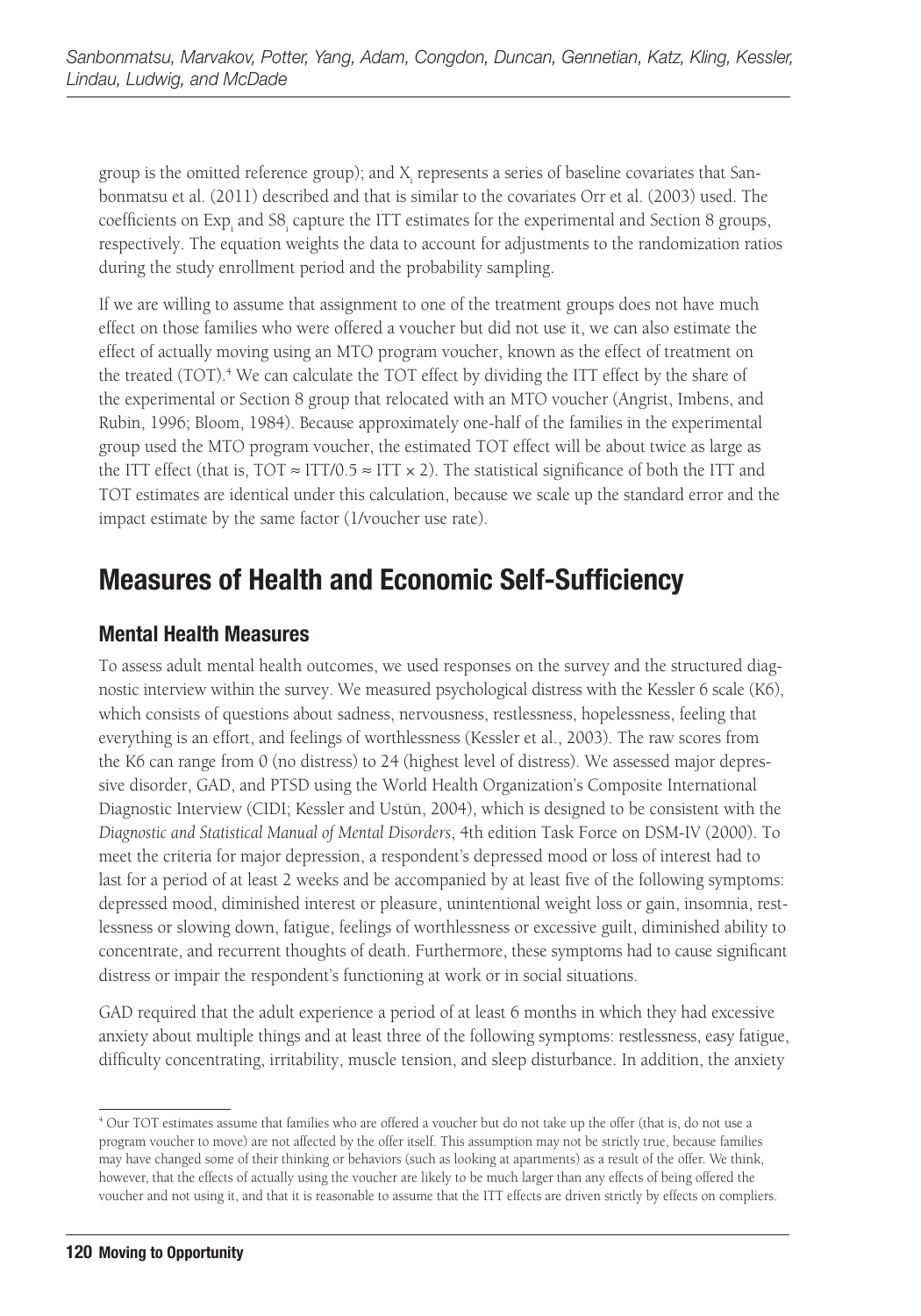group is the omitted reference group); and  $\boldsymbol{\mathrm{X_{i}}}$  represents a series of baseline covariates that Sanbonmatsu et al. (2011) described and that is similar to the covariates Orr et al. (2003) used. The coefficients on Exp<sub>i</sub> and S8<sub>i</sub> capture the ITT estimates for the experimental and Section 8 groups, respectively. The equation weights the data to account for adjustments to the randomization ratios during the study enrollment period and the probability sampling.

If we are willing to assume that assignment to one of the treatment groups does not have much effect on those families who were offered a voucher but did not use it, we can also estimate the effect of actually moving using an MTO program voucher, known as the effect of treatment on the treated (TOT).<sup>4</sup> We can calculate the TOT effect by dividing the ITT effect by the share of the experimental or Section 8 group that relocated with an MTO voucher (Angrist, Imbens, and Rubin, 1996; Bloom, 1984). Because approximately one-half of the families in the experimental group used the MTO program voucher, the estimated TOT effect will be about twice as large as the ITT effect (that is,  $TOT \approx ITT/0.5 \approx ITT \times 2$ ). The statistical significance of both the ITT and TOT estimates are identical under this calculation, because we scale up the standard error and the impact estimate by the same factor (1/voucher use rate).

## **Measures of Health and Economic Self-Sufficiency**

#### **Mental Health Measures**

To assess adult mental health outcomes, we used responses on the survey and the structured diagnostic interview within the survey. We measured psychological distress with the Kessler 6 scale (K6), which consists of questions about sadness, nervousness, restlessness, hopelessness, feeling that everything is an effort, and feelings of worthlessness (Kessler et al., 2003). The raw scores from the K6 can range from 0 (no distress) to 24 (highest level of distress). We assessed major depressive disorder, GAD, and PTSD using the World Health Organization's Composite International Diagnostic Interview (CIDI; Kessler and Ustün, 2004), which is designed to be consistent with the *Diagnostic and Statistical Manual of Mental Disorders*, 4th edition Task Force on DSM-IV (2000). To meet the criteria for major depression, a respondent's depressed mood or loss of interest had to last for a period of at least 2 weeks and be accompanied by at least five of the following symptoms: depressed mood, diminished interest or pleasure, unintentional weight loss or gain, insomnia, restlessness or slowing down, fatigue, feelings of worthlessness or excessive guilt, diminished ability to concentrate, and recurrent thoughts of death. Furthermore, these symptoms had to cause significant distress or impair the respondent's functioning at work or in social situations.

GAD required that the adult experience a period of at least 6 months in which they had excessive anxiety about multiple things and at least three of the following symptoms: restlessness, easy fatigue, difficulty concentrating, irritability, muscle tension, and sleep disturbance. In addition, the anxiety

<sup>4</sup> Our TOT estimates assume that families who are offered a voucher but do not take up the offer (that is, do not use a program voucher to move) are not affected by the offer itself. This assumption may not be strictly true, because families may have changed some of their thinking or behaviors (such as looking at apartments) as a result of the offer. We think, however, that the effects of actually using the voucher are likely to be much larger than any effects of being offered the voucher and not using it, and that it is reasonable to assume that the ITT effects are driven strictly by effects on compliers.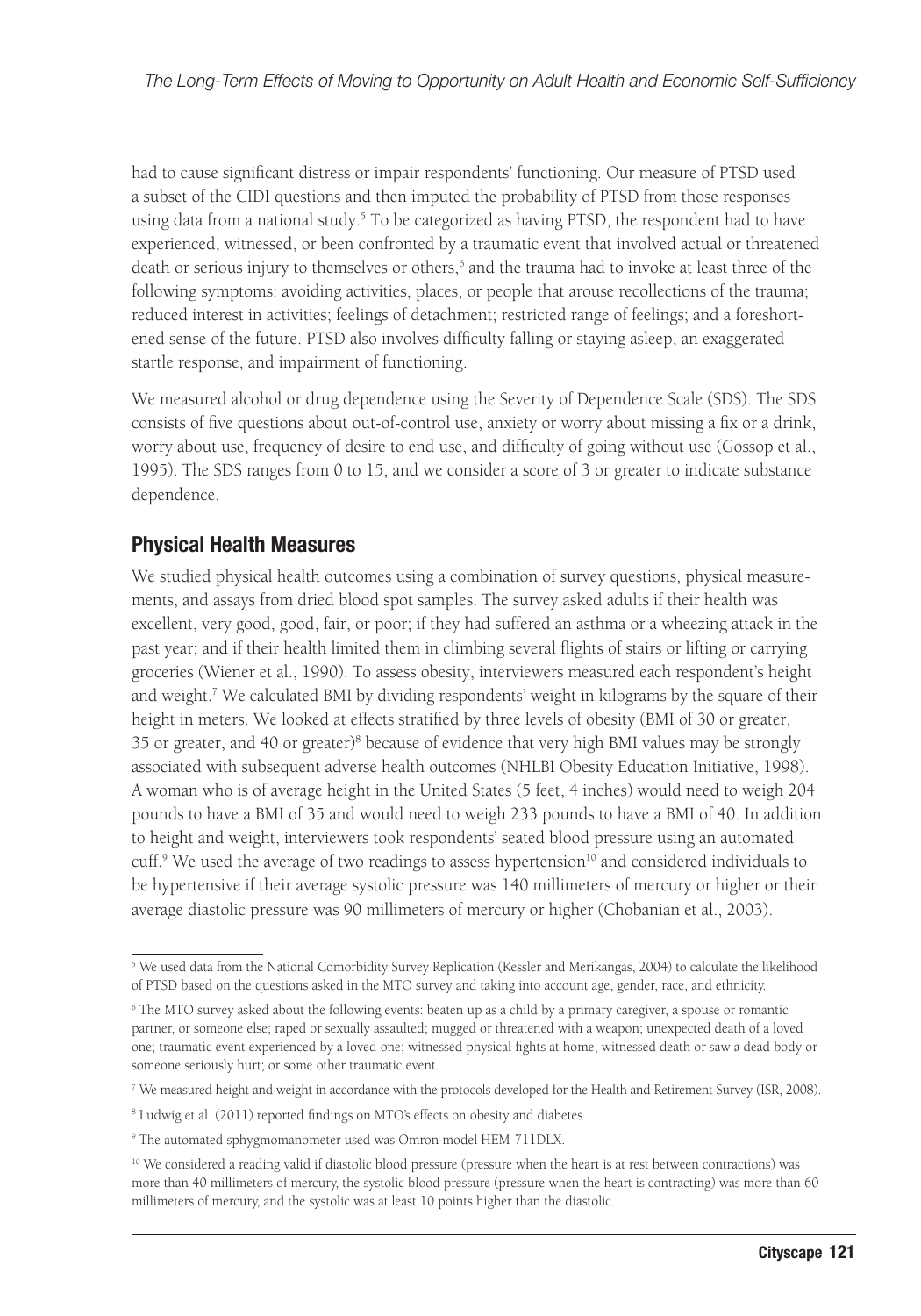had to cause significant distress or impair respondents' functioning. Our measure of PTSD used a subset of the CIDI questions and then imputed the probability of PTSD from those responses using data from a national study.<sup>5</sup> To be categorized as having PTSD, the respondent had to have experienced, witnessed, or been confronted by a traumatic event that involved actual or threatened death or serious injury to themselves or others,<sup>6</sup> and the trauma had to invoke at least three of the following symptoms: avoiding activities, places, or people that arouse recollections of the trauma; reduced interest in activities; feelings of detachment; restricted range of feelings; and a foreshortened sense of the future. PTSD also involves difficulty falling or staying asleep, an exaggerated startle response, and impairment of functioning.

We measured alcohol or drug dependence using the Severity of Dependence Scale (SDS). The SDS consists of five questions about out-of-control use, anxiety or worry about missing a fix or a drink, worry about use, frequency of desire to end use, and difficulty of going without use (Gossop et al., 1995). The SDS ranges from 0 to 15, and we consider a score of 3 or greater to indicate substance dependence.

#### **Physical Health Measures**

We studied physical health outcomes using a combination of survey questions, physical measurements, and assays from dried blood spot samples. The survey asked adults if their health was excellent, very good, good, fair, or poor; if they had suffered an asthma or a wheezing attack in the past year; and if their health limited them in climbing several flights of stairs or lifting or carrying groceries (Wiener et al., 1990). To assess obesity, interviewers measured each respondent's height and weight.<sup>7</sup> We calculated BMI by dividing respondents' weight in kilograms by the square of their height in meters. We looked at effects stratified by three levels of obesity (BMI of 30 or greater, 35 or greater, and 40 or greater)<sup>8</sup> because of evidence that very high BMI values may be strongly associated with subsequent adverse health outcomes (NHLBI Obesity Education Initiative, 1998). A woman who is of average height in the United States (5 feet, 4 inches) would need to weigh 204 pounds to have a BMI of 35 and would need to weigh 233 pounds to have a BMI of 40. In addition to height and weight, interviewers took respondents' seated blood pressure using an automated cuff.<sup>9</sup> We used the average of two readings to assess hypertension<sup>10</sup> and considered individuals to be hypertensive if their average systolic pressure was 140 millimeters of mercury or higher or their average diastolic pressure was 90 millimeters of mercury or higher (Chobanian et al., 2003).

<sup>&</sup>lt;sup>5</sup> We used data from the National Comorbidity Survey Replication (Kessler and Merikangas, 2004) to calculate the likelihood of PTSD based on the questions asked in the MTO survey and taking into account age, gender, race, and ethnicity.

<sup>6</sup> The MTO survey asked about the following events: beaten up as a child by a primary caregiver, a spouse or romantic partner, or someone else; raped or sexually assaulted; mugged or threatened with a weapon; unexpected death of a loved one; traumatic event experienced by a loved one; witnessed physical fights at home; witnessed death or saw a dead body or someone seriously hurt; or some other traumatic event.

<sup>7</sup> We measured height and weight in accordance with the protocols developed for the Health and Retirement Survey (ISR, 2008).

<sup>8</sup> Ludwig et al. (2011) reported findings on MTO's effects on obesity and diabetes.

<sup>9</sup> The automated sphygmomanometer used was Omron model HEM-711DLX.

<sup>&</sup>lt;sup>10</sup> We considered a reading valid if diastolic blood pressure (pressure when the heart is at rest between contractions) was more than 40 millimeters of mercury, the systolic blood pressure (pressure when the heart is contracting) was more than 60 millimeters of mercury, and the systolic was at least 10 points higher than the diastolic.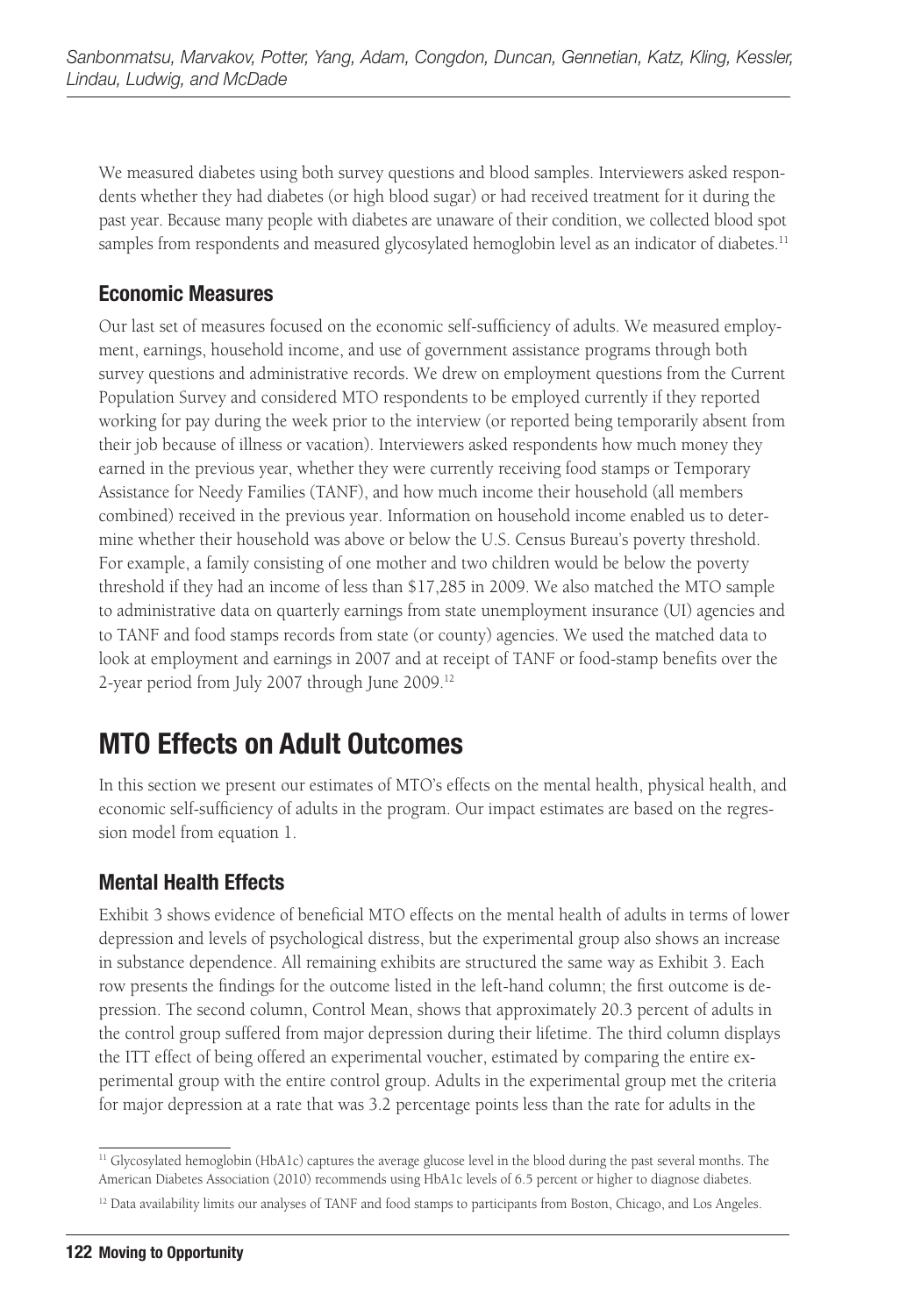We measured diabetes using both survey questions and blood samples. Interviewers asked respondents whether they had diabetes (or high blood sugar) or had received treatment for it during the past year. Because many people with diabetes are unaware of their condition, we collected blood spot samples from respondents and measured glycosylated hemoglobin level as an indicator of diabetes.<sup>11</sup>

### **Economic Measures**

Our last set of measures focused on the economic self-sufficiency of adults. We measured employment, earnings, household income, and use of government assistance programs through both survey questions and administrative records. We drew on employment questions from the Current Population Survey and considered MTO respondents to be employed currently if they reported working for pay during the week prior to the interview (or reported being temporarily absent from their job because of illness or vacation). Interviewers asked respondents how much money they earned in the previous year, whether they were currently receiving food stamps or Temporary Assistance for Needy Families (TANF), and how much income their household (all members combined) received in the previous year. Information on household income enabled us to determine whether their household was above or below the U.S. Census Bureau's poverty threshold. For example, a family consisting of one mother and two children would be below the poverty threshold if they had an income of less than \$17,285 in 2009. We also matched the MTO sample to administrative data on quarterly earnings from state unemployment insurance (UI) agencies and to TANF and food stamps records from state (or county) agencies. We used the matched data to look at employment and earnings in 2007 and at receipt of TANF or food-stamp benefits over the 2-year period from July 2007 through June 2009.12

# **MTO Effects on Adult Outcomes**

In this section we present our estimates of MTO's effects on the mental health, physical health, and economic self-sufficiency of adults in the program. Our impact estimates are based on the regression model from equation 1.

### **Mental Health Effects**

Exhibit 3 shows evidence of beneficial MTO effects on the mental health of adults in terms of lower depression and levels of psychological distress, but the experimental group also shows an increase in substance dependence. All remaining exhibits are structured the same way as Exhibit 3. Each row presents the findings for the outcome listed in the left-hand column; the first outcome is depression. The second column, Control Mean, shows that approximately 20.3 percent of adults in the control group suffered from major depression during their lifetime. The third column displays the ITT effect of being offered an experimental voucher, estimated by comparing the entire experimental group with the entire control group. Adults in the experimental group met the criteria for major depression at a rate that was 3.2 percentage points less than the rate for adults in the

<sup>&</sup>lt;sup>11</sup> Glycosylated hemoglobin (HbA1c) captures the average glucose level in the blood during the past several months. The American Diabetes Association (2010) recommends using HbA1c levels of 6.5 percent or higher to diagnose diabetes.

<sup>&</sup>lt;sup>12</sup> Data availability limits our analyses of TANF and food stamps to participants from Boston, Chicago, and Los Angeles.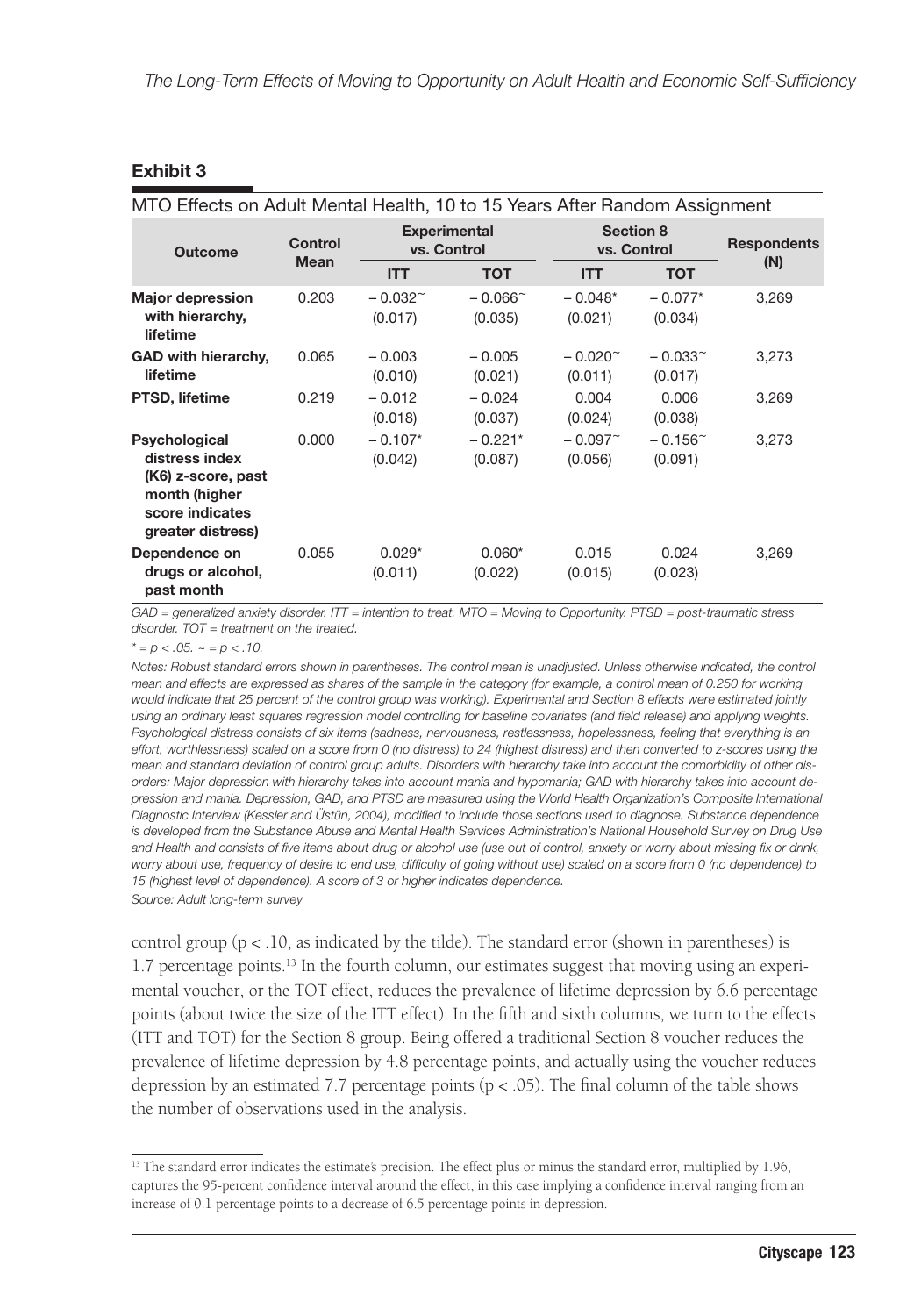#### **Exhibit 3**

| MTO Effects on Adult Mental Health, 10 to 15 Years After Random Assignment                                     |                        |                                    |                             |                                  |                             |                    |
|----------------------------------------------------------------------------------------------------------------|------------------------|------------------------------------|-----------------------------|----------------------------------|-----------------------------|--------------------|
| <b>Outcome</b>                                                                                                 | Control<br><b>Mean</b> | <b>Experimental</b><br>vs. Control |                             | <b>Section 8</b><br>vs. Control  |                             | <b>Respondents</b> |
|                                                                                                                |                        | <b>ITT</b>                         | <b>TOT</b>                  | <b>ITT</b>                       | <b>TOT</b>                  | (N)                |
| <b>Major depression</b><br>with hierarchy,<br>lifetime                                                         | 0.203                  | $-0.032^{\sim}$<br>(0.017)         | $-0.066^{\circ}$<br>(0.035) | $-0.048*$<br>(0.021)             | $-0.077*$<br>(0.034)        | 3,269              |
| <b>GAD with hierarchy,</b><br>lifetime                                                                         | 0.065                  | $-0.003$<br>(0.010)                | $-0.005$<br>(0.021)         | $-0.020$ <sup>~</sup><br>(0.011) | $-0.033$ ~<br>(0.017)       | 3,273              |
| <b>PTSD, lifetime</b>                                                                                          | 0.219                  | $-0.012$<br>(0.018)                | $-0.024$<br>(0.037)         | 0.004<br>(0.024)                 | 0.006<br>(0.038)            | 3,269              |
| Psychological<br>distress index<br>(K6) z-score, past<br>month (higher<br>score indicates<br>greater distress) | 0.000                  | $-0.107*$<br>(0.042)               | $-0.221*$<br>(0.087)        | $-0.097^{\circ}$<br>(0.056)      | $-0.156^{\circ}$<br>(0.091) | 3,273              |
| Dependence on<br>drugs or alcohol,<br>past month                                                               | 0.055                  | $0.029*$<br>(0.011)                | $0.060*$<br>(0.022)         | 0.015<br>(0.015)                 | 0.024<br>(0.023)            | 3,269              |

*GAD = generalized anxiety disorder. ITT = intention to treat. MTO = Moving to Opportunity. PTSD = post-traumatic stress disorder. TOT = treatment on the treated.*

 $* = p < .05. \sim p < .10.$ 

*Notes: Robust standard errors shown in parentheses. The control mean is unadjusted. Unless otherwise indicated, the control mean and effects are expressed as shares of the sample in the category (for example, a control mean of 0.250 for working would indicate that 25 percent of the control group was working). Experimental and Section 8 effects were estimated jointly using an ordinary least squares regression model controlling for baseline covariates (and field release) and applying weights. Psychological distress consists of six items (sadness, nervousness, restlessness, hopelessness, feeling that everything is an effort, worthlessness) scaled on a score from 0 (no distress) to 24 (highest distress) and then converted to z-scores using the mean and standard deviation of control group adults. Disorders with hierarchy take into account the comorbidity of other disorders: Major depression with hierarchy takes into account mania and hypomania; GAD with hierarchy takes into account depression and mania. Depression, GAD, and PTSD are measured using the World Health Organization's Composite International Diagnostic Interview (Kessler and Üstün, 2004), modified to include those sections used to diagnose. Substance dependence is developed from the Substance Abuse and Mental Health Services Administration's National Household Survey on Drug Use and Health and consists of five items about drug or alcohol use (use out of control, anxiety or worry about missing fix or drink, worry about use, frequency of desire to end use, difficulty of going without use) scaled on a score from 0 (no dependence) to 15 (highest level of dependence). A score of 3 or higher indicates dependence. Source: Adult long-term survey*

control group ( $p < 0.10$ , as indicated by the tilde). The standard error (shown in parentheses) is 1.7 percentage points.13 In the fourth column, our estimates suggest that moving using an experimental voucher, or the TOT effect, reduces the prevalence of lifetime depression by 6.6 percentage points (about twice the size of the ITT effect). In the fifth and sixth columns, we turn to the effects (ITT and TOT) for the Section 8 group. Being offered a traditional Section 8 voucher reduces the prevalence of lifetime depression by 4.8 percentage points, and actually using the voucher reduces depression by an estimated 7.7 percentage points ( $p < .05$ ). The final column of the table shows the number of observations used in the analysis.

<sup>&</sup>lt;sup>13</sup> The standard error indicates the estimate's precision. The effect plus or minus the standard error, multiplied by 1.96, captures the 95-percent confidence interval around the effect, in this case implying a confidence interval ranging from an increase of 0.1 percentage points to a decrease of 6.5 percentage points in depression.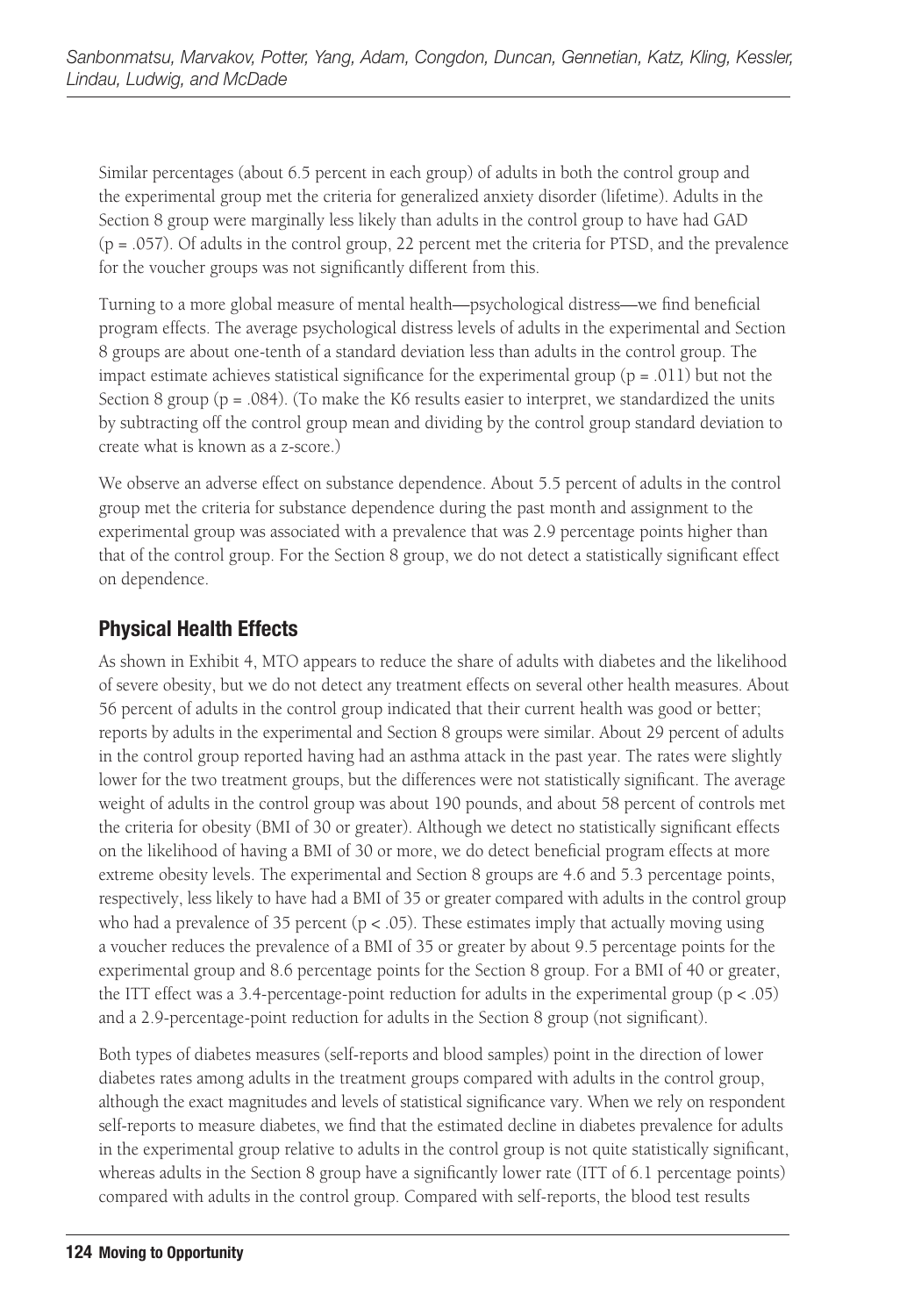Similar percentages (about 6.5 percent in each group) of adults in both the control group and the experimental group met the criteria for generalized anxiety disorder (lifetime). Adults in the Section 8 group were marginally less likely than adults in the control group to have had GAD (p = .057). Of adults in the control group, 22 percent met the criteria for PTSD, and the prevalence for the voucher groups was not significantly different from this.

Turning to a more global measure of mental health—psychological distress—we find beneficial program effects. The average psychological distress levels of adults in the experimental and Section 8 groups are about one-tenth of a standard deviation less than adults in the control group. The impact estimate achieves statistical significance for the experimental group ( $p = .011$ ) but not the Section 8 group (p = .084). (To make the K6 results easier to interpret, we standardized the units by subtracting off the control group mean and dividing by the control group standard deviation to create what is known as a z-score.)

We observe an adverse effect on substance dependence. About 5.5 percent of adults in the control group met the criteria for substance dependence during the past month and assignment to the experimental group was associated with a prevalence that was 2.9 percentage points higher than that of the control group. For the Section 8 group, we do not detect a statistically significant effect on dependence.

### **Physical Health Effects**

As shown in Exhibit 4, MTO appears to reduce the share of adults with diabetes and the likelihood of severe obesity, but we do not detect any treatment effects on several other health measures. About 56 percent of adults in the control group indicated that their current health was good or better; reports by adults in the experimental and Section 8 groups were similar. About 29 percent of adults in the control group reported having had an asthma attack in the past year. The rates were slightly lower for the two treatment groups, but the differences were not statistically significant. The average weight of adults in the control group was about 190 pounds, and about 58 percent of controls met the criteria for obesity (BMI of 30 or greater). Although we detect no statistically significant effects on the likelihood of having a BMI of 30 or more, we do detect beneficial program effects at more extreme obesity levels. The experimental and Section 8 groups are 4.6 and 5.3 percentage points, respectively, less likely to have had a BMI of 35 or greater compared with adults in the control group who had a prevalence of 35 percent ( $p < .05$ ). These estimates imply that actually moving using a voucher reduces the prevalence of a BMI of 35 or greater by about 9.5 percentage points for the experimental group and 8.6 percentage points for the Section 8 group. For a BMI of 40 or greater, the ITT effect was a 3.4-percentage-point reduction for adults in the experimental group  $(p < .05)$ and a 2.9-percentage-point reduction for adults in the Section 8 group (not significant).

Both types of diabetes measures (self-reports and blood samples) point in the direction of lower diabetes rates among adults in the treatment groups compared with adults in the control group, although the exact magnitudes and levels of statistical significance vary. When we rely on respondent self-reports to measure diabetes, we find that the estimated decline in diabetes prevalence for adults in the experimental group relative to adults in the control group is not quite statistically significant, whereas adults in the Section 8 group have a significantly lower rate (ITT of 6.1 percentage points) compared with adults in the control group. Compared with self-reports, the blood test results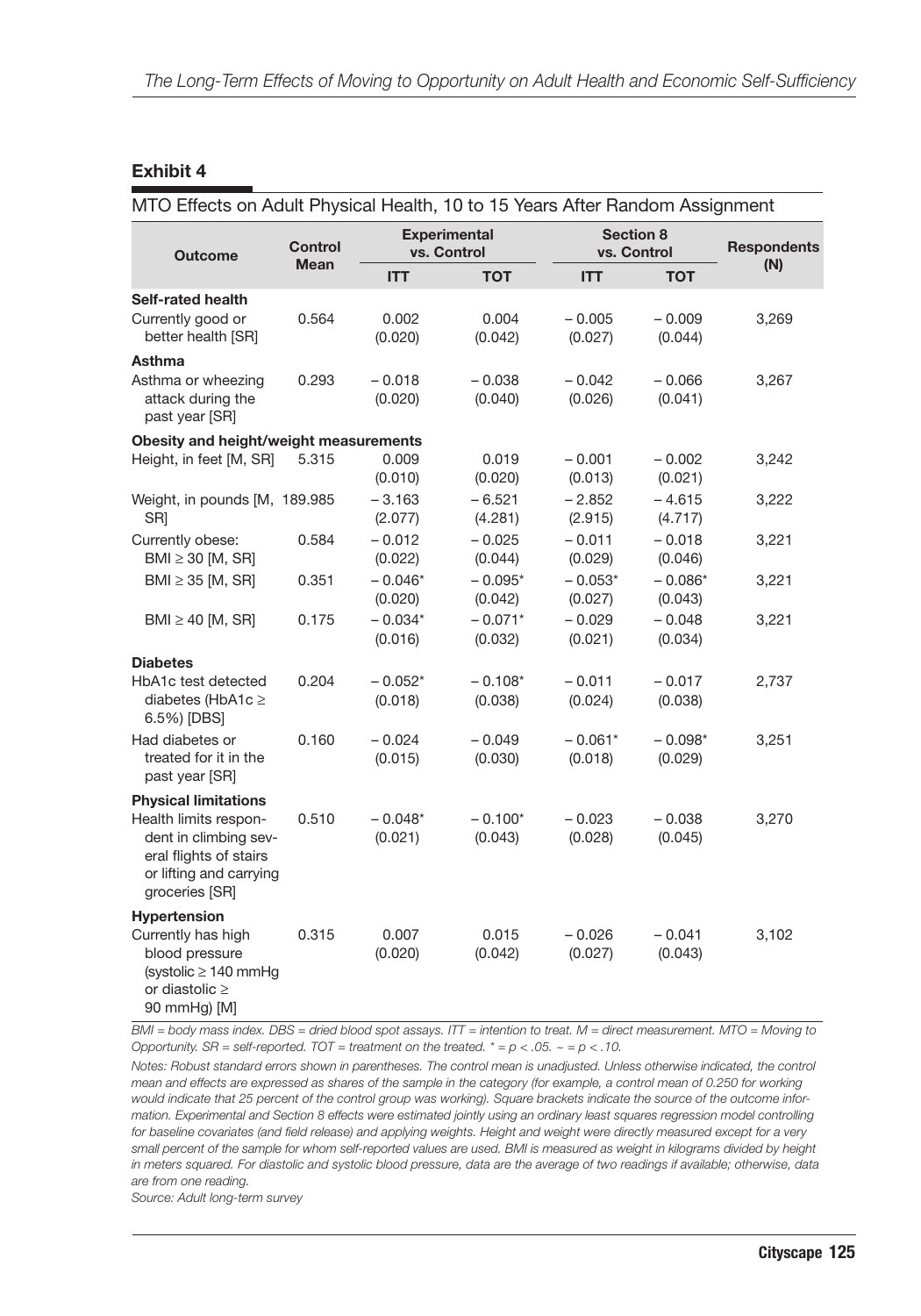#### **Exhibit 4**

| MTO Effects on Adult Physical Health, 10 to 15 Years After Random Assignment                                             |                |                                    |                      |                          |                      |                    |
|--------------------------------------------------------------------------------------------------------------------------|----------------|------------------------------------|----------------------|--------------------------|----------------------|--------------------|
| <b>Outcome</b>                                                                                                           | <b>Control</b> | <b>Experimental</b><br>vs. Control |                      | Section 8<br>vs. Control |                      | <b>Respondents</b> |
|                                                                                                                          | <b>Mean</b>    | <b>ITT</b>                         | <b>TOT</b>           | <b>ITT</b>               | <b>TOT</b>           | (N)                |
| Self-rated health<br>Currently good or<br>better health [SR]                                                             | 0.564          | 0.002<br>(0.020)                   | 0.004<br>(0.042)     | $-0.005$<br>(0.027)      | $-0.009$<br>(0.044)  | 3,269              |
| Asthma<br>Asthma or wheezing<br>attack during the<br>past year [SR]                                                      | 0.293          | $-0.018$<br>(0.020)                | $-0.038$<br>(0.040)  | $-0.042$<br>(0.026)      | $-0.066$<br>(0.041)  | 3,267              |
| Obesity and height/weight measurements                                                                                   |                |                                    |                      |                          |                      |                    |
| Height, in feet [M, SR]                                                                                                  | 5.315          | 0.009<br>(0.010)                   | 0.019<br>(0.020)     | $-0.001$<br>(0.013)      | $-0.002$<br>(0.021)  | 3,242              |
| Weight, in pounds [M, 189.985<br>SR]                                                                                     |                | $-3.163$<br>(2.077)                | $-6.521$<br>(4.281)  | $-2.852$<br>(2.915)      | $-4.615$<br>(4.717)  | 3,222              |
| Currently obese:<br>BMI $\geq$ 30 [M, SR]                                                                                | 0.584          | $-0.012$<br>(0.022)                | $-0.025$<br>(0.044)  | $-0.011$<br>(0.029)      | $-0.018$<br>(0.046)  | 3,221              |
| BMI $\geq$ 35 [M, SR]                                                                                                    | 0.351          | $-0.046*$<br>(0.020)               | $-0.095*$<br>(0.042) | $-0.053*$<br>(0.027)     | $-0.086*$<br>(0.043) | 3,221              |
| BMI $\geq$ 40 [M, SR]                                                                                                    | 0.175          | $-0.034*$<br>(0.016)               | $-0.071*$<br>(0.032) | $-0.029$<br>(0.021)      | $-0.048$<br>(0.034)  | 3,221              |
| <b>Diabetes</b>                                                                                                          |                |                                    |                      |                          |                      |                    |
| HbA1c test detected<br>diabetes (HbA1c $\geq$<br>6.5%) [DBS]                                                             | 0.204          | $-0.052*$<br>(0.018)               | $-0.108*$<br>(0.038) | $-0.011$<br>(0.024)      | $-0.017$<br>(0.038)  | 2,737              |
| Had diabetes or<br>treated for it in the<br>past year [SR]                                                               | 0.160          | $-0.024$<br>(0.015)                | $-0.049$<br>(0.030)  | $-0.061*$<br>(0.018)     | $-0.098*$<br>(0.029) | 3,251              |
| <b>Physical limitations</b>                                                                                              |                |                                    |                      |                          |                      |                    |
| Health limits respon-<br>dent in climbing sev-<br>eral flights of stairs<br>or lifting and carrying<br>groceries [SR]    | 0.510          | $-0.048*$<br>(0.021)               | $-0.100*$<br>(0.043) | $-0.023$<br>(0.028)      | $-0.038$<br>(0.045)  | 3,270              |
| Hypertension<br>Currently has high<br>blood pressure<br>(systolic $\geq$ 140 mmHg<br>or diastolic $\geq$<br>90 mmHg) [M] | 0.315          | 0.007<br>(0.020)                   | 0.015<br>(0.042)     | $-0.026$<br>(0.027)      | $-0.041$<br>(0.043)  | 3,102              |

*BMI = body mass index. DBS = dried blood spot assays. ITT = intention to treat. M = direct measurement. MTO = Moving to Opportunity. SR = self-reported. TOT = treatment on the treated. \* = p < .05. ~ = p < .10.*

*Notes: Robust standard errors shown in parentheses. The control mean is unadjusted. Unless otherwise indicated, the control mean and effects are expressed as shares of the sample in the category (for example, a control mean of 0.250 for working would indicate that 25 percent of the control group was working). Square brackets indicate the source of the outcome information. Experimental and Section 8 effects were estimated jointly using an ordinary least squares regression model controlling for baseline covariates (and field release) and applying weights. Height and weight were directly measured except for a very small percent of the sample for whom self-reported values are used. BMI is measured as weight in kilograms divided by height in meters squared. For diastolic and systolic blood pressure, data are the average of two readings if available; otherwise, data are from one reading.*

*Source: Adult long-term survey*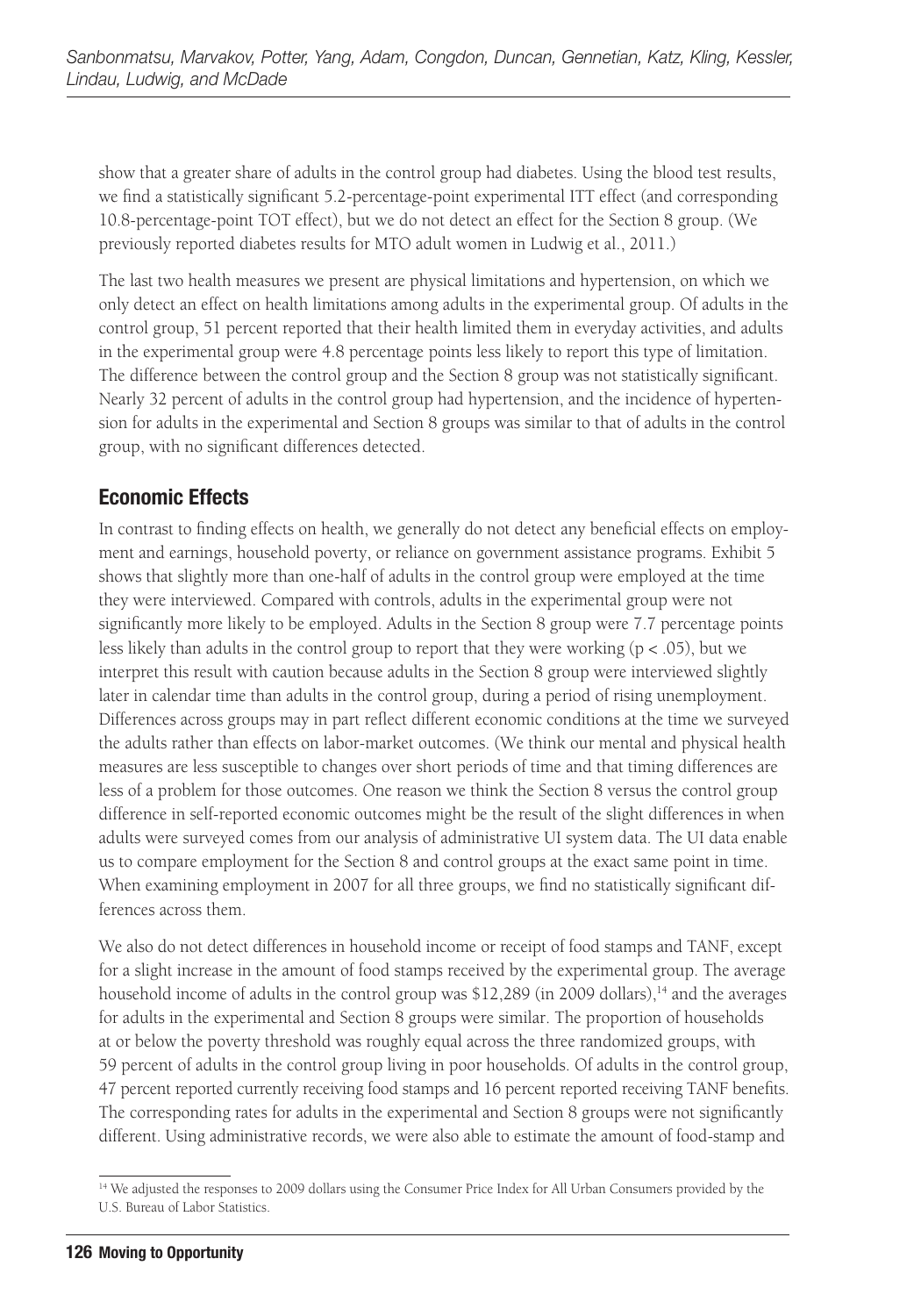show that a greater share of adults in the control group had diabetes. Using the blood test results, we find a statistically significant 5.2-percentage-point experimental ITT effect (and corresponding 10.8-percentage-point TOT effect), but we do not detect an effect for the Section 8 group. (We previously reported diabetes results for MTO adult women in Ludwig et al., 2011.)

The last two health measures we present are physical limitations and hypertension, on which we only detect an effect on health limitations among adults in the experimental group. Of adults in the control group, 51 percent reported that their health limited them in everyday activities, and adults in the experimental group were 4.8 percentage points less likely to report this type of limitation. The difference between the control group and the Section 8 group was not statistically significant. Nearly 32 percent of adults in the control group had hypertension, and the incidence of hypertension for adults in the experimental and Section 8 groups was similar to that of adults in the control group, with no significant differences detected.

#### **Economic Effects**

In contrast to finding effects on health, we generally do not detect any beneficial effects on employment and earnings, household poverty, or reliance on government assistance programs. Exhibit 5 shows that slightly more than one-half of adults in the control group were employed at the time they were interviewed. Compared with controls, adults in the experimental group were not significantly more likely to be employed. Adults in the Section 8 group were 7.7 percentage points less likely than adults in the control group to report that they were working ( $p < .05$ ), but we interpret this result with caution because adults in the Section 8 group were interviewed slightly later in calendar time than adults in the control group, during a period of rising unemployment. Differences across groups may in part reflect different economic conditions at the time we surveyed the adults rather than effects on labor-market outcomes. (We think our mental and physical health measures are less susceptible to changes over short periods of time and that timing differences are less of a problem for those outcomes. One reason we think the Section 8 versus the control group difference in self-reported economic outcomes might be the result of the slight differences in when adults were surveyed comes from our analysis of administrative UI system data. The UI data enable us to compare employment for the Section 8 and control groups at the exact same point in time. When examining employment in 2007 for all three groups, we find no statistically significant differences across them.

We also do not detect differences in household income or receipt of food stamps and TANF, except for a slight increase in the amount of food stamps received by the experimental group. The average household income of adults in the control group was  $$12,289$  (in 2009 dollars),<sup>14</sup> and the averages for adults in the experimental and Section 8 groups were similar. The proportion of households at or below the poverty threshold was roughly equal across the three randomized groups, with 59 percent of adults in the control group living in poor households. Of adults in the control group, 47 percent reported currently receiving food stamps and 16 percent reported receiving TANF benefits. The corresponding rates for adults in the experimental and Section 8 groups were not significantly different. Using administrative records, we were also able to estimate the amount of food-stamp and

<sup>&</sup>lt;sup>14</sup> We adjusted the responses to 2009 dollars using the Consumer Price Index for All Urban Consumers provided by the U.S. Bureau of Labor Statistics.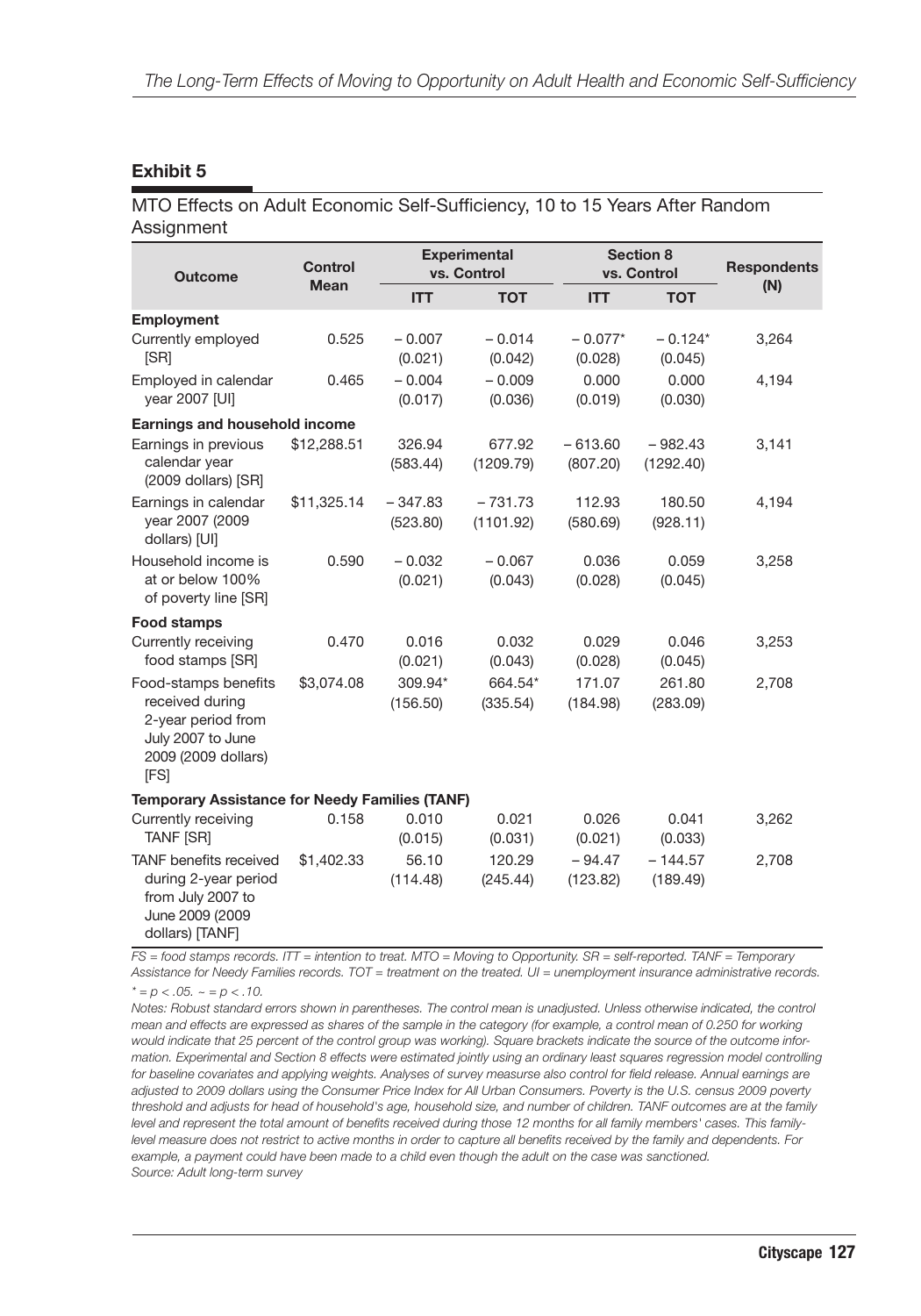#### **Exhibit 5**

#### MTO Effects on Adult Economic Self-Sufficiency, 10 to 15 Years After Random Assignment

| <b>Outcome</b>                                                                                                    | Control<br><b>Mean</b> | <b>Experimental</b><br>vs. Control |                        | <b>Section 8</b><br>vs. Control |                        | <b>Respondents</b> |
|-------------------------------------------------------------------------------------------------------------------|------------------------|------------------------------------|------------------------|---------------------------------|------------------------|--------------------|
|                                                                                                                   |                        | <b>ITT</b>                         | <b>TOT</b>             | <b>ITT</b>                      | <b>TOT</b>             | (N)                |
| <b>Employment</b><br>Currently employed<br>[SR]                                                                   | 0.525                  | $-0.007$<br>(0.021)                | $-0.014$<br>(0.042)    | $-0.077*$<br>(0.028)            | $-0.124*$<br>(0.045)   | 3,264              |
| Employed in calendar<br>year 2007 [UI]                                                                            | 0.465                  | $-0.004$<br>(0.017)                | $-0.009$<br>(0.036)    | 0.000<br>(0.019)                | 0.000<br>(0.030)       | 4,194              |
| Earnings and household income                                                                                     |                        |                                    |                        |                                 |                        |                    |
| Earnings in previous<br>calendar year<br>(2009 dollars) [SR]                                                      | \$12,288.51            | 326.94<br>(583.44)                 | 677.92<br>(1209.79)    | $-613.60$<br>(807.20)           | $-982.43$<br>(1292.40) | 3,141              |
| Earnings in calendar<br>year 2007 (2009<br>dollars) [UI]                                                          | \$11,325.14            | $-347.83$<br>(523.80)              | $-731.73$<br>(1101.92) | 112.93<br>(580.69)              | 180.50<br>(928.11)     | 4,194              |
| Household income is<br>at or below 100%<br>of poverty line [SR]                                                   | 0.590                  | $-0.032$<br>(0.021)                | $-0.067$<br>(0.043)    | 0.036<br>(0.028)                | 0.059<br>(0.045)       | 3,258              |
| Food stamps                                                                                                       |                        |                                    |                        |                                 |                        |                    |
| Currently receiving<br>food stamps [SR]                                                                           | 0.470                  | 0.016<br>(0.021)                   | 0.032<br>(0.043)       | 0.029<br>(0.028)                | 0.046<br>(0.045)       | 3,253              |
| Food-stamps benefits<br>received during<br>2-year period from<br>July 2007 to June<br>2009 (2009 dollars)<br>[FS] | \$3,074.08             | 309.94*<br>(156.50)                | 664.54*<br>(335.54)    | 171.07<br>(184.98)              | 261.80<br>(283.09)     | 2,708              |
| <b>Temporary Assistance for Needy Families (TANF)</b>                                                             |                        |                                    |                        |                                 |                        |                    |
| Currently receiving<br><b>TANF [SR]</b>                                                                           | 0.158                  | 0.010<br>(0.015)                   | 0.021<br>(0.031)       | 0.026<br>(0.021)                | 0.041<br>(0.033)       | 3,262              |
| <b>TANF</b> benefits received<br>during 2-year period<br>from July 2007 to<br>June 2009 (2009<br>dollars) [TANF]  | \$1,402.33             | 56.10<br>(114.48)                  | 120.29<br>(245.44)     | $-94.47$<br>(123.82)            | $-144.57$<br>(189.49)  | 2,708              |

*FS = food stamps records. ITT = intention to treat. MTO = Moving to Opportunity. SR = self-reported. TANF = Temporary Assistance for Needy Families records. TOT = treatment on the treated. UI = unemployment insurance administrative records.*

 $x^* = p < .05$ .  $\sim = p < .10$ .

*Notes: Robust standard errors shown in parentheses. The control mean is unadjusted. Unless otherwise indicated, the control mean and effects are expressed as shares of the sample in the category (for example, a control mean of 0.250 for working would indicate that 25 percent of the control group was working). Square brackets indicate the source of the outcome information. Experimental and Section 8 effects were estimated jointly using an ordinary least squares regression model controlling for baseline covariates and applying weights. Analyses of survey measurse also control for field release. Annual earnings are adjusted to 2009 dollars using the Consumer Price Index for All Urban Consumers. Poverty is the U.S. census 2009 poverty threshold and adjusts for head of household's age, household size, and number of children. TANF outcomes are at the family level and represent the total amount of benefits received during those 12 months for all family members' cases. This familylevel measure does not restrict to active months in order to capture all benefits received by the family and dependents. For example, a payment could have been made to a child even though the adult on the case was sanctioned. Source: Adult long-term survey*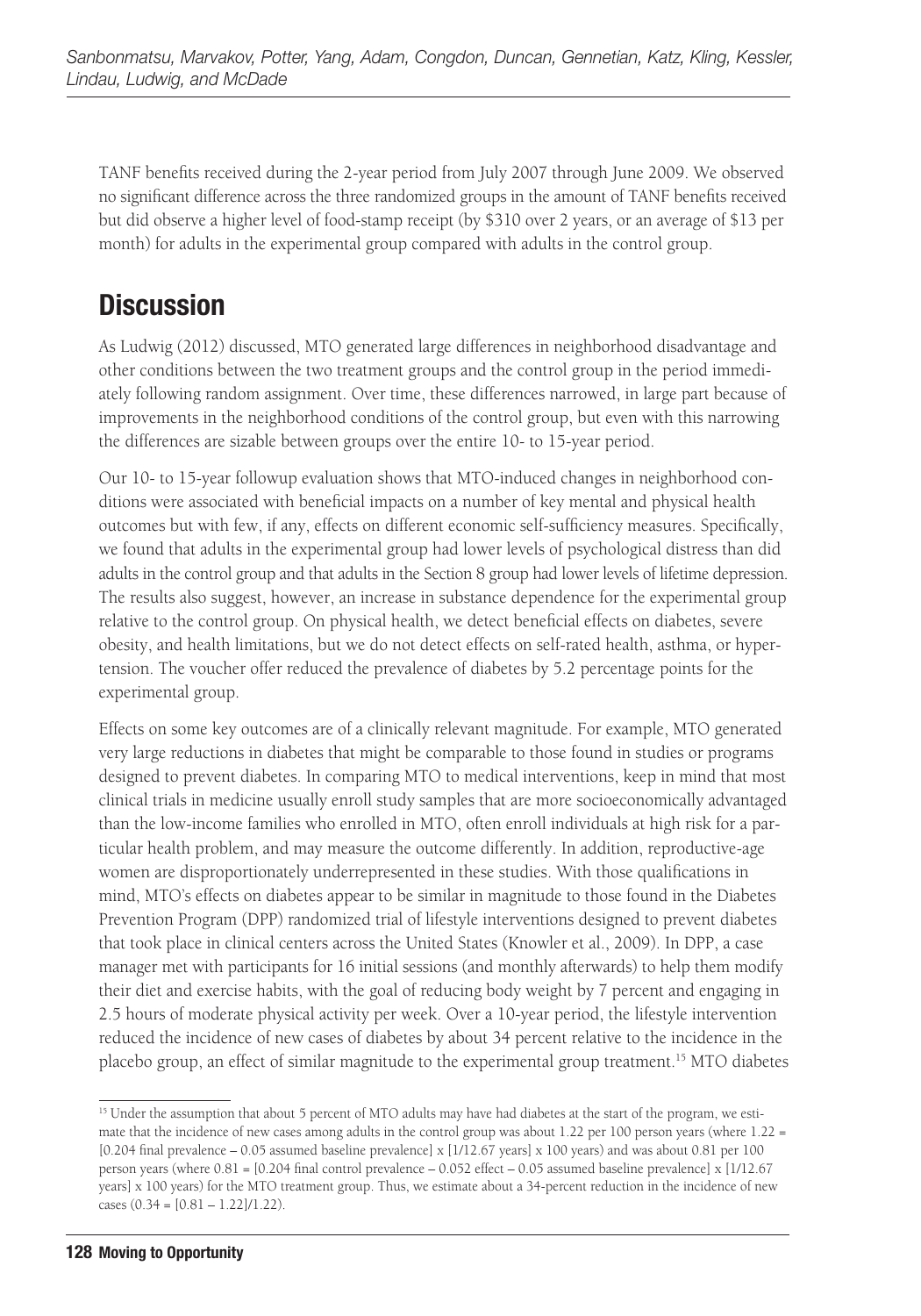TANF benefits received during the 2-year period from July 2007 through June 2009. We observed no significant difference across the three randomized groups in the amount of TANF benefits received but did observe a higher level of food-stamp receipt (by \$310 over 2 years, or an average of \$13 per month) for adults in the experimental group compared with adults in the control group.

# **Discussion**

As Ludwig (2012) discussed, MTO generated large differences in neighborhood disadvantage and other conditions between the two treatment groups and the control group in the period immediately following random assignment. Over time, these differences narrowed, in large part because of improvements in the neighborhood conditions of the control group, but even with this narrowing the differences are sizable between groups over the entire 10- to 15-year period.

Our 10- to 15-year followup evaluation shows that MTO-induced changes in neighborhood conditions were associated with beneficial impacts on a number of key mental and physical health outcomes but with few, if any, effects on different economic self-sufficiency measures. Specifically, we found that adults in the experimental group had lower levels of psychological distress than did adults in the control group and that adults in the Section 8 group had lower levels of lifetime depression. The results also suggest, however, an increase in substance dependence for the experimental group relative to the control group. On physical health, we detect beneficial effects on diabetes, severe obesity, and health limitations, but we do not detect effects on self-rated health, asthma, or hypertension. The voucher offer reduced the prevalence of diabetes by 5.2 percentage points for the experimental group.

Effects on some key outcomes are of a clinically relevant magnitude. For example, MTO generated very large reductions in diabetes that might be comparable to those found in studies or programs designed to prevent diabetes. In comparing MTO to medical interventions, keep in mind that most clinical trials in medicine usually enroll study samples that are more socioeconomically advantaged than the low-income families who enrolled in MTO, often enroll individuals at high risk for a particular health problem, and may measure the outcome differently. In addition, reproductive-age women are disproportionately underrepresented in these studies. With those qualifications in mind, MTO's effects on diabetes appear to be similar in magnitude to those found in the Diabetes Prevention Program (DPP) randomized trial of lifestyle interventions designed to prevent diabetes that took place in clinical centers across the United States (Knowler et al., 2009). In DPP, a case manager met with participants for 16 initial sessions (and monthly afterwards) to help them modify their diet and exercise habits, with the goal of reducing body weight by 7 percent and engaging in 2.5 hours of moderate physical activity per week. Over a 10-year period, the lifestyle intervention reduced the incidence of new cases of diabetes by about 34 percent relative to the incidence in the placebo group, an effect of similar magnitude to the experimental group treatment.15 MTO diabetes

<sup>&</sup>lt;sup>15</sup> Under the assumption that about 5 percent of MTO adults may have had diabetes at the start of the program, we estimate that the incidence of new cases among adults in the control group was about 1.22 per 100 person years (where 1.22 = [0.204 final prevalence – 0.05 assumed baseline prevalence] x [1/12.67 years] x 100 years) and was about 0.81 per 100 person years (where 0.81 = [0.204 final control prevalence – 0.052 effect – 0.05 assumed baseline prevalence] x [1/12.67 years] x 100 years) for the MTO treatment group. Thus, we estimate about a 34-percent reduction in the incidence of new cases  $(0.34 = [0.81 - 1.22]/1.22)$ .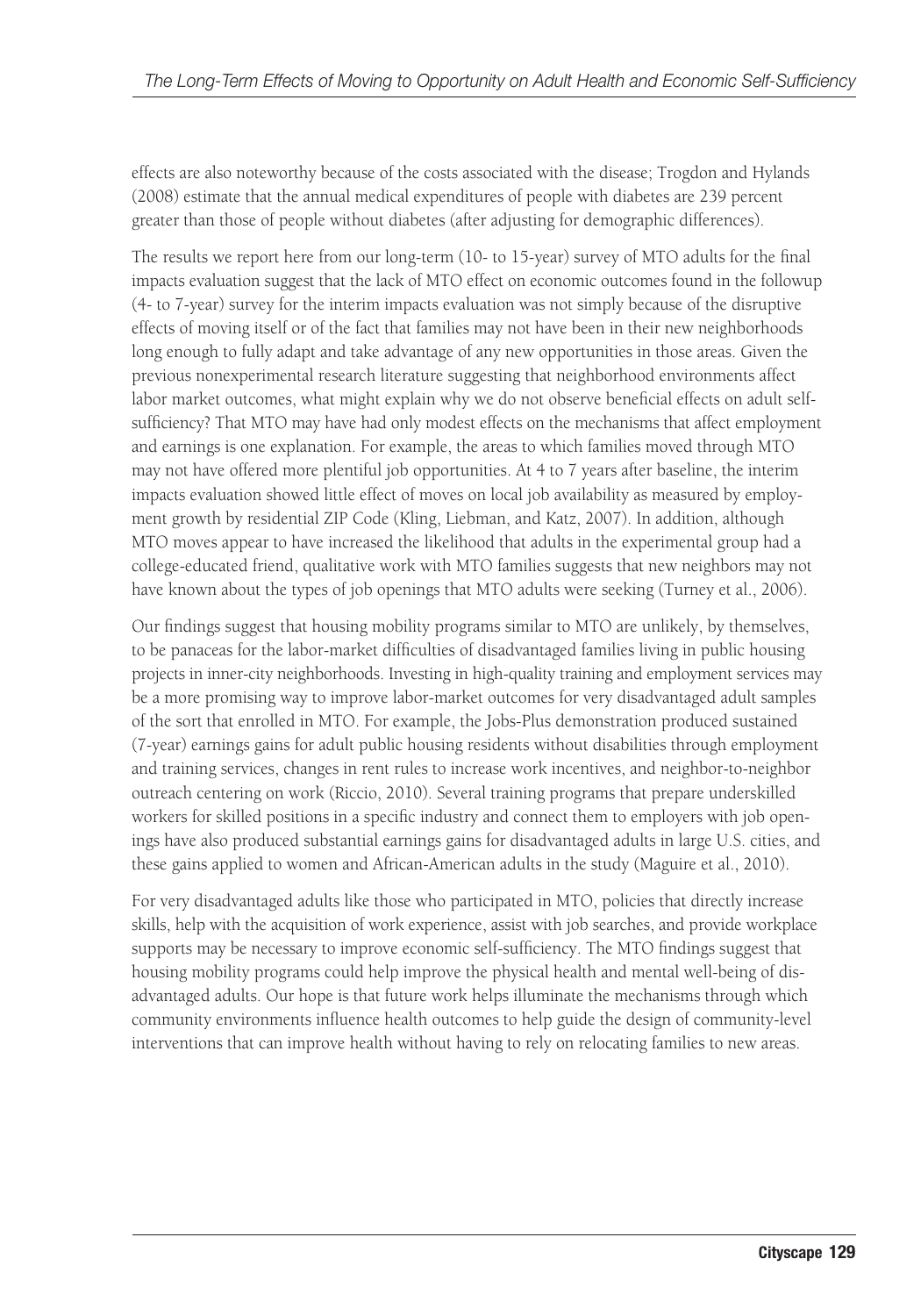effects are also noteworthy because of the costs associated with the disease; Trogdon and Hylands (2008) estimate that the annual medical expenditures of people with diabetes are 239 percent greater than those of people without diabetes (after adjusting for demographic differences).

The results we report here from our long-term (10- to 15-year) survey of MTO adults for the final impacts evaluation suggest that the lack of MTO effect on economic outcomes found in the followup (4- to 7-year) survey for the interim impacts evaluation was not simply because of the disruptive effects of moving itself or of the fact that families may not have been in their new neighborhoods long enough to fully adapt and take advantage of any new opportunities in those areas. Given the previous nonexperimental research literature suggesting that neighborhood environments affect labor market outcomes, what might explain why we do not observe beneficial effects on adult selfsufficiency? That MTO may have had only modest effects on the mechanisms that affect employment and earnings is one explanation. For example, the areas to which families moved through MTO may not have offered more plentiful job opportunities. At 4 to 7 years after baseline, the interim impacts evaluation showed little effect of moves on local job availability as measured by employment growth by residential ZIP Code (Kling, Liebman, and Katz, 2007). In addition, although MTO moves appear to have increased the likelihood that adults in the experimental group had a college-educated friend, qualitative work with MTO families suggests that new neighbors may not have known about the types of job openings that MTO adults were seeking (Turney et al., 2006).

Our findings suggest that housing mobility programs similar to MTO are unlikely, by themselves, to be panaceas for the labor-market difficulties of disadvantaged families living in public housing projects in inner-city neighborhoods. Investing in high-quality training and employment services may be a more promising way to improve labor-market outcomes for very disadvantaged adult samples of the sort that enrolled in MTO. For example, the Jobs-Plus demonstration produced sustained (7-year) earnings gains for adult public housing residents without disabilities through employment and training services, changes in rent rules to increase work incentives, and neighbor-to-neighbor outreach centering on work (Riccio, 2010). Several training programs that prepare underskilled workers for skilled positions in a specific industry and connect them to employers with job openings have also produced substantial earnings gains for disadvantaged adults in large U.S. cities, and these gains applied to women and African-American adults in the study (Maguire et al., 2010).

For very disadvantaged adults like those who participated in MTO, policies that directly increase skills, help with the acquisition of work experience, assist with job searches, and provide workplace supports may be necessary to improve economic self-sufficiency. The MTO findings suggest that housing mobility programs could help improve the physical health and mental well-being of disadvantaged adults. Our hope is that future work helps illuminate the mechanisms through which community environments influence health outcomes to help guide the design of community-level interventions that can improve health without having to rely on relocating families to new areas.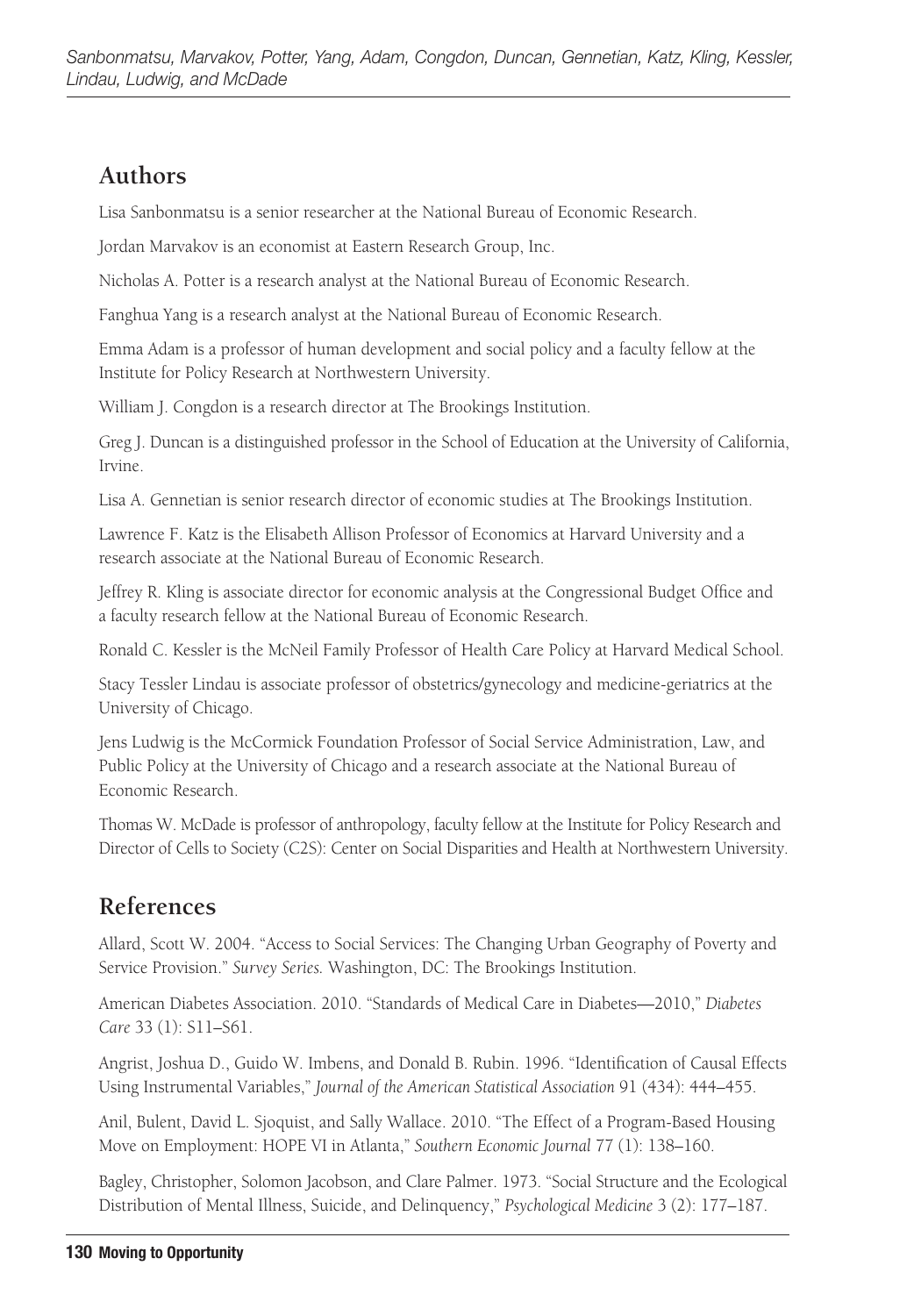### **Authors**

Lisa Sanbonmatsu is a senior researcher at the National Bureau of Economic Research.

Jordan Marvakov is an economist at Eastern Research Group, Inc.

Nicholas A. Potter is a research analyst at the National Bureau of Economic Research.

Fanghua Yang is a research analyst at the National Bureau of Economic Research.

Emma Adam is a professor of human development and social policy and a faculty fellow at the Institute for Policy Research at Northwestern University.

William J. Congdon is a research director at The Brookings Institution.

Greg J. Duncan is a distinguished professor in the School of Education at the University of California, Irvine.

Lisa A. Gennetian is senior research director of economic studies at The Brookings Institution.

Lawrence F. Katz is the Elisabeth Allison Professor of Economics at Harvard University and a research associate at the National Bureau of Economic Research.

Jeffrey R. Kling is associate director for economic analysis at the Congressional Budget Office and a faculty research fellow at the National Bureau of Economic Research.

Ronald C. Kessler is the McNeil Family Professor of Health Care Policy at Harvard Medical School.

Stacy Tessler Lindau is associate professor of obstetrics/gynecology and medicine-geriatrics at the University of Chicago.

Jens Ludwig is the McCormick Foundation Professor of Social Service Administration, Law, and Public Policy at the University of Chicago and a research associate at the National Bureau of Economic Research.

Thomas W. McDade is professor of anthropology, faculty fellow at the Institute for Policy Research and Director of Cells to Society (C2S): Center on Social Disparities and Health at Northwestern University.

### **References**

Allard, Scott W. 2004. "Access to Social Services: The Changing Urban Geography of Poverty and Service Provision." *Survey Series.* Washington, DC: The Brookings Institution.

American Diabetes Association. 2010. "Standards of Medical Care in Diabetes—2010," *Diabetes Care* 33 (1): S11–S61.

Angrist, Joshua D., Guido W. Imbens, and Donald B. Rubin. 1996. "Identification of Causal Effects Using Instrumental Variables," *Journal of the American Statistical Association* 91 (434): 444–455.

Anil, Bulent, David L. Sjoquist, and Sally Wallace. 2010. "The Effect of a Program-Based Housing Move on Employment: HOPE VI in Atlanta," *Southern Economic Journal* 77 (1): 138–160.

Bagley, Christopher, Solomon Jacobson, and Clare Palmer. 1973. "Social Structure and the Ecological Distribution of Mental Illness, Suicide, and Delinquency," *Psychological Medicine* 3 (2): 177–187.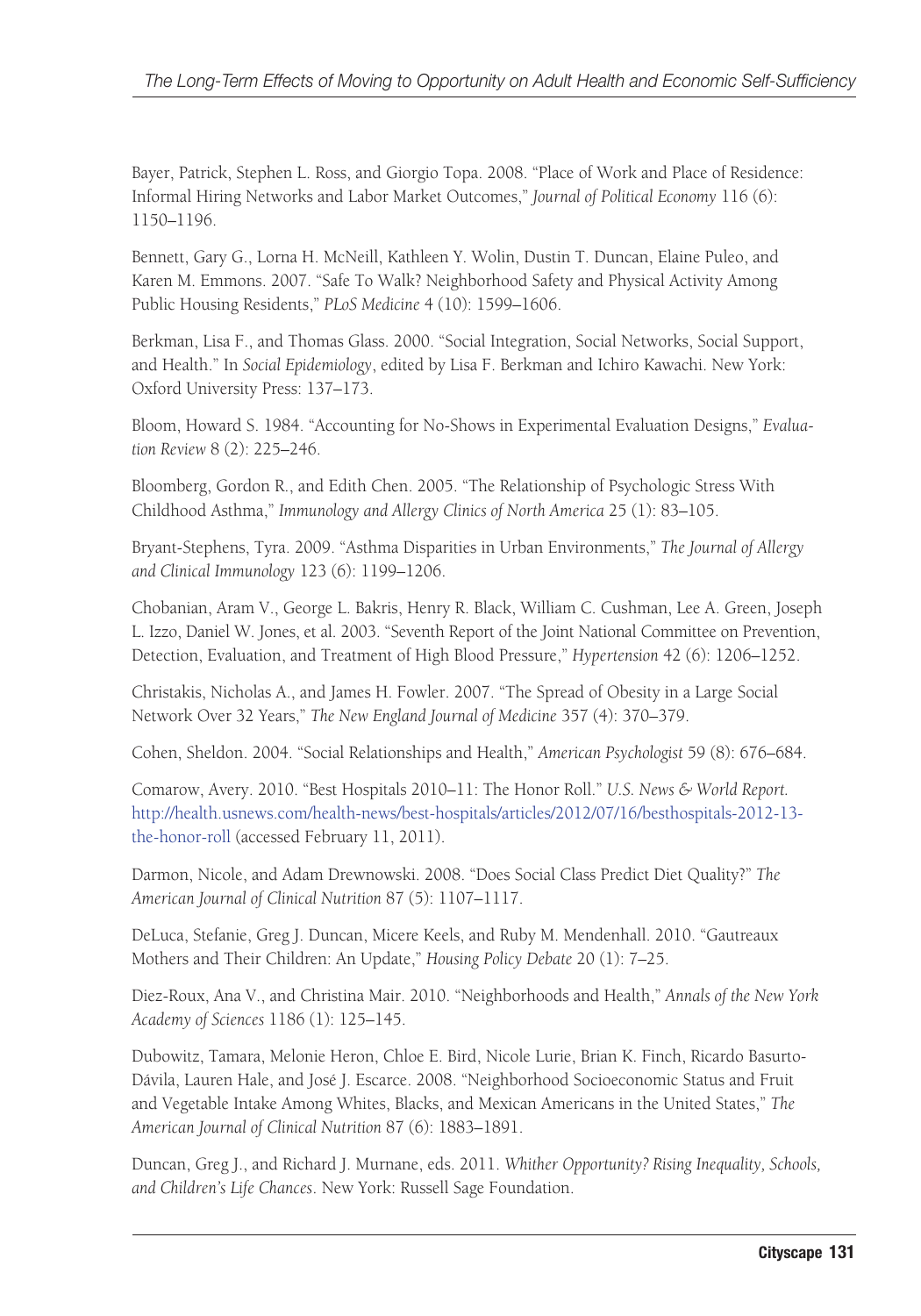Bayer, Patrick, Stephen L. Ross, and Giorgio Topa. 2008. "Place of Work and Place of Residence: Informal Hiring Networks and Labor Market Outcomes," *Journal of Political Economy* 116 (6): 1150–1196.

Bennett, Gary G., Lorna H. McNeill, Kathleen Y. Wolin, Dustin T. Duncan, Elaine Puleo, and Karen M. Emmons. 2007. "Safe To Walk? Neighborhood Safety and Physical Activity Among Public Housing Residents," *PLoS Medicine* 4 (10): 1599–1606.

Berkman, Lisa F., and Thomas Glass. 2000. "Social Integration, Social Networks, Social Support, and Health." In *Social Epidemiology*, edited by Lisa F. Berkman and Ichiro Kawachi. New York: Oxford University Press: 137–173.

Bloom, Howard S. 1984. "Accounting for No-Shows in Experimental Evaluation Designs," *Evaluation Review* 8 (2): 225–246.

Bloomberg, Gordon R., and Edith Chen. 2005. "The Relationship of Psychologic Stress With Childhood Asthma," *Immunology and Allergy Clinics of North America* 25 (1): 83–105.

Bryant-Stephens, Tyra. 2009. "Asthma Disparities in Urban Environments," *The Journal of Allergy and Clinical Immunology* 123 (6): 1199–1206.

Chobanian, Aram V., George L. Bakris, Henry R. Black, William C. Cushman, Lee A. Green, Joseph L. Izzo, Daniel W. Jones, et al. 2003. "Seventh Report of the Joint National Committee on Prevention, Detection, Evaluation, and Treatment of High Blood Pressure," *Hypertension* 42 (6): 1206–1252.

Christakis, Nicholas A., and James H. Fowler. 2007. "The Spread of Obesity in a Large Social Network Over 32 Years," *The New England Journal of Medicine* 357 (4): 370–379.

Cohen, Sheldon. 2004. "Social Relationships and Health," *American Psychologist* 59 (8): 676–684.

Comarow, Avery. 2010. "Best Hospitals 2010–11: The Honor Roll." *U.S. News & World Report.* [http://health.usnews.com/health-news/best-hospitals/articles/2012/07/16/besthospitals-2012-13](http://health.usnews.com/health-news/best-hospitals/articles/2012/07/16/besthospitals-2012-13-the-honor-roll) [the-honor-roll \(a](http://health.usnews.com/health-news/best-hospitals/articles/2012/07/16/besthospitals-2012-13-the-honor-roll)ccessed February 11, 2011).

Darmon, Nicole, and Adam Drewnowski. 2008. "Does Social Class Predict Diet Quality?" *The American Journal of Clinical Nutrition* 87 (5): 1107–1117.

DeLuca, Stefanie, Greg J. Duncan, Micere Keels, and Ruby M. Mendenhall. 2010. "Gautreaux Mothers and Their Children: An Update," *Housing Policy Debate* 20 (1): 7–25.

Diez-Roux, Ana V., and Christina Mair. 2010. "Neighborhoods and Health," *Annals of the New York Academy of Sciences* 1186 (1): 125–145.

Dubowitz, Tamara, Melonie Heron, Chloe E. Bird, Nicole Lurie, Brian K. Finch, Ricardo Basurto-Dávila, Lauren Hale, and José J. Escarce. 2008. "Neighborhood Socioeconomic Status and Fruit and Vegetable Intake Among Whites, Blacks, and Mexican Americans in the United States," *The American Journal of Clinical Nutrition* 87 (6): 1883–1891.

Duncan, Greg J., and Richard J. Murnane, eds. 2011. *Whither Opportunity? Rising Inequality, Schools, and Children's Life Chances*. New York: Russell Sage Foundation.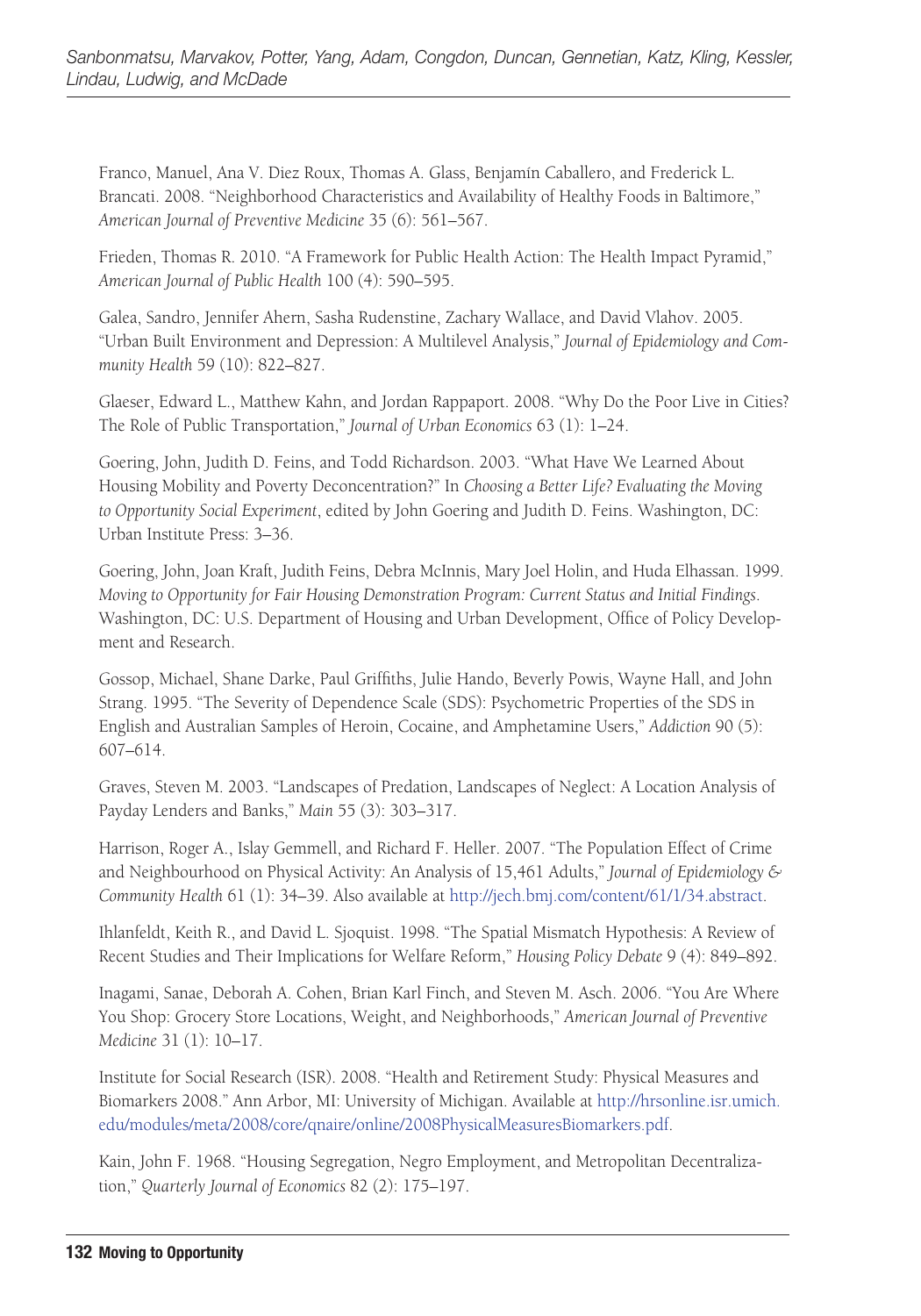Franco, Manuel, Ana V. Diez Roux, Thomas A. Glass, Benjamín Caballero, and Frederick L. Brancati. 2008. "Neighborhood Characteristics and Availability of Healthy Foods in Baltimore," *American Journal of Preventive Medicine* 35 (6): 561–567.

Frieden, Thomas R. 2010. "A Framework for Public Health Action: The Health Impact Pyramid," *American Journal of Public Health* 100 (4): 590–595.

Galea, Sandro, Jennifer Ahern, Sasha Rudenstine, Zachary Wallace, and David Vlahov. 2005. "Urban Built Environment and Depression: A Multilevel Analysis," *Journal of Epidemiology and Community Health* 59 (10): 822–827.

Glaeser, Edward L., Matthew Kahn, and Jordan Rappaport. 2008. "Why Do the Poor Live in Cities? The Role of Public Transportation," *Journal of Urban Economics* 63 (1): 1–24.

Goering, John, Judith D. Feins, and Todd Richardson. 2003. "What Have We Learned About Housing Mobility and Poverty Deconcentration?" In *Choosing a Better Life? Evaluating the Moving to Opportunity Social Experiment*, edited by John Goering and Judith D. Feins. Washington, DC: Urban Institute Press: 3–36.

Goering, John, Joan Kraft, Judith Feins, Debra McInnis, Mary Joel Holin, and Huda Elhassan. 1999. *Moving to Opportunity for Fair Housing Demonstration Program: Current Status and Initial Findings*. Washington, DC: U.S. Department of Housing and Urban Development, Office of Policy Development and Research.

Gossop, Michael, Shane Darke, Paul Griffiths, Julie Hando, Beverly Powis, Wayne Hall, and John Strang. 1995. "The Severity of Dependence Scale (SDS): Psychometric Properties of the SDS in English and Australian Samples of Heroin, Cocaine, and Amphetamine Users," *Addiction* 90 (5): 607–614.

Graves, Steven M. 2003. "Landscapes of Predation, Landscapes of Neglect: A Location Analysis of Payday Lenders and Banks," *Main* 55 (3): 303–317.

Harrison, Roger A., Islay Gemmell, and Richard F. Heller. 2007. "The Population Effect of Crime and Neighbourhood on Physical Activity: An Analysis of 15,461 Adults," *Journal of Epidemiology & Community Health* 61 (1): 34–39. Also available at [http://jech.bmj.com/content/61/1/34.abstract.](http://jech.bmj.com/content/61/1/34.abstract)

Ihlanfeldt, Keith R., and David L. Sjoquist. 1998. "The Spatial Mismatch Hypothesis: A Review of Recent Studies and Their Implications for Welfare Reform," *Housing Policy Debate* 9 (4): 849–892.

Inagami, Sanae, Deborah A. Cohen, Brian Karl Finch, and Steven M. Asch. 2006. "You Are Where You Shop: Grocery Store Locations, Weight, and Neighborhoods," *American Journal of Preventive Medicine* 31 (1): 10–17.

Institute for Social Research (ISR). 2008. "Health and Retirement Study: Physical Measures and Biomarkers 2008." Ann Arbor, MI: University of Michigan. Available at [http://hrsonline.isr.umich.](http://hrsonline.isr.umich.edu/modules/meta/2008/core/qnaire/online/2008PhysicalMeasuresBiomarkers.pdf) [edu/modules/meta/2008/core/qnaire/online/2008PhysicalMeasuresBiomarkers.pdf.](http://hrsonline.isr.umich.edu/modules/meta/2008/core/qnaire/online/2008PhysicalMeasuresBiomarkers.pdf)

Kain, John F. 1968. "Housing Segregation, Negro Employment, and Metropolitan Decentralization," *Quarterly Journal of Economics* 82 (2): 175–197.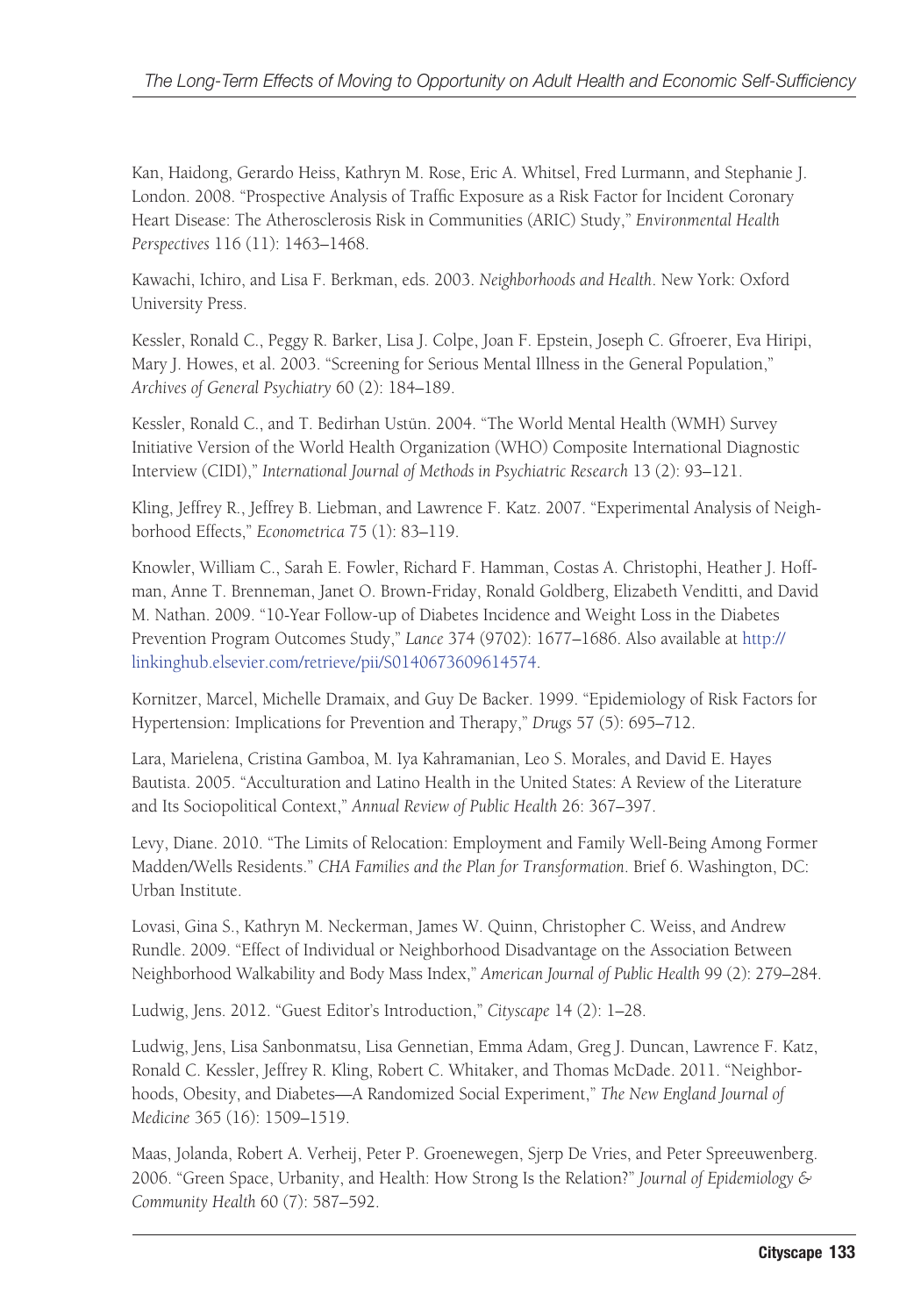Kan, Haidong, Gerardo Heiss, Kathryn M. Rose, Eric A. Whitsel, Fred Lurmann, and Stephanie J. London. 2008. "Prospective Analysis of Traffic Exposure as a Risk Factor for Incident Coronary Heart Disease: The Atherosclerosis Risk in Communities (ARIC) Study," *Environmental Health Perspectives* 116 (11): 1463–1468.

Kawachi, Ichiro, and Lisa F. Berkman, eds. 2003. *Neighborhoods and Health*. New York: Oxford University Press.

Kessler, Ronald C., Peggy R. Barker, Lisa J. Colpe, Joan F. Epstein, Joseph C. Gfroerer, Eva Hiripi, Mary J. Howes, et al. 2003. "Screening for Serious Mental Illness in the General Population," *Archives of General Psychiatry* 60 (2): 184–189.

Kessler, Ronald C., and T. Bedirhan Ustün. 2004. "The World Mental Health (WMH) Survey Initiative Version of the World Health Organization (WHO) Composite International Diagnostic Interview (CIDI)," *International Journal of Methods in Psychiatric Research* 13 (2): 93–121.

Kling, Jeffrey R., Jeffrey B. Liebman, and Lawrence F. Katz. 2007. "Experimental Analysis of Neighborhood Effects," *Econometrica* 75 (1): 83–119.

Knowler, William C., Sarah E. Fowler, Richard F. Hamman, Costas A. Christophi, Heather J. Hoffman, Anne T. Brenneman, Janet O. Brown-Friday, Ronald Goldberg, Elizabeth Venditti, and David M. Nathan. 2009. "10-Year Follow-up of Diabetes Incidence and Weight Loss in the Diabetes Prevention Program Outcomes Study," *Lance* 374 (9702): 1677–1686. Also available at [http://](http://linkinghub.elsevier.com/retrieve/pii/S0140673609614574) [linkinghub.elsevier.com/retrieve/pii/S0140673609614574.](http://linkinghub.elsevier.com/retrieve/pii/S0140673609614574)

Kornitzer, Marcel, Michelle Dramaix, and Guy De Backer. 1999. "Epidemiology of Risk Factors for Hypertension: Implications for Prevention and Therapy," *Drugs* 57 (5): 695–712.

Lara, Marielena, Cristina Gamboa, M. Iya Kahramanian, Leo S. Morales, and David E. Hayes Bautista. 2005. "Acculturation and Latino Health in the United States: A Review of the Literature and Its Sociopolitical Context," *Annual Review of Public Health* 26: 367–397.

Levy, Diane. 2010. "The Limits of Relocation: Employment and Family Well-Being Among Former Madden/Wells Residents." *CHA Families and the Plan for Transformation*. Brief 6. Washington, DC: Urban Institute.

Lovasi, Gina S., Kathryn M. Neckerman, James W. Quinn, Christopher C. Weiss, and Andrew Rundle. 2009. "Effect of Individual or Neighborhood Disadvantage on the Association Between Neighborhood Walkability and Body Mass Index," *American Journal of Public Health* 99 (2): 279–284.

Ludwig, Jens. 2012. "Guest Editor's Introduction," *Cityscape* 14 (2): 1–28.

Ludwig, Jens, Lisa Sanbonmatsu, Lisa Gennetian, Emma Adam, Greg J. Duncan, Lawrence F. Katz, Ronald C. Kessler, Jeffrey R. Kling, Robert C. Whitaker, and Thomas McDade. 2011. "Neighborhoods, Obesity, and Diabetes—A Randomized Social Experiment," *The New England Journal of Medicine* 365 (16): 1509–1519.

Maas, Jolanda, Robert A. Verheij, Peter P. Groenewegen, Sjerp De Vries, and Peter Spreeuwenberg. 2006. "Green Space, Urbanity, and Health: How Strong Is the Relation?" *Journal of Epidemiology & Community Health* 60 (7): 587–592.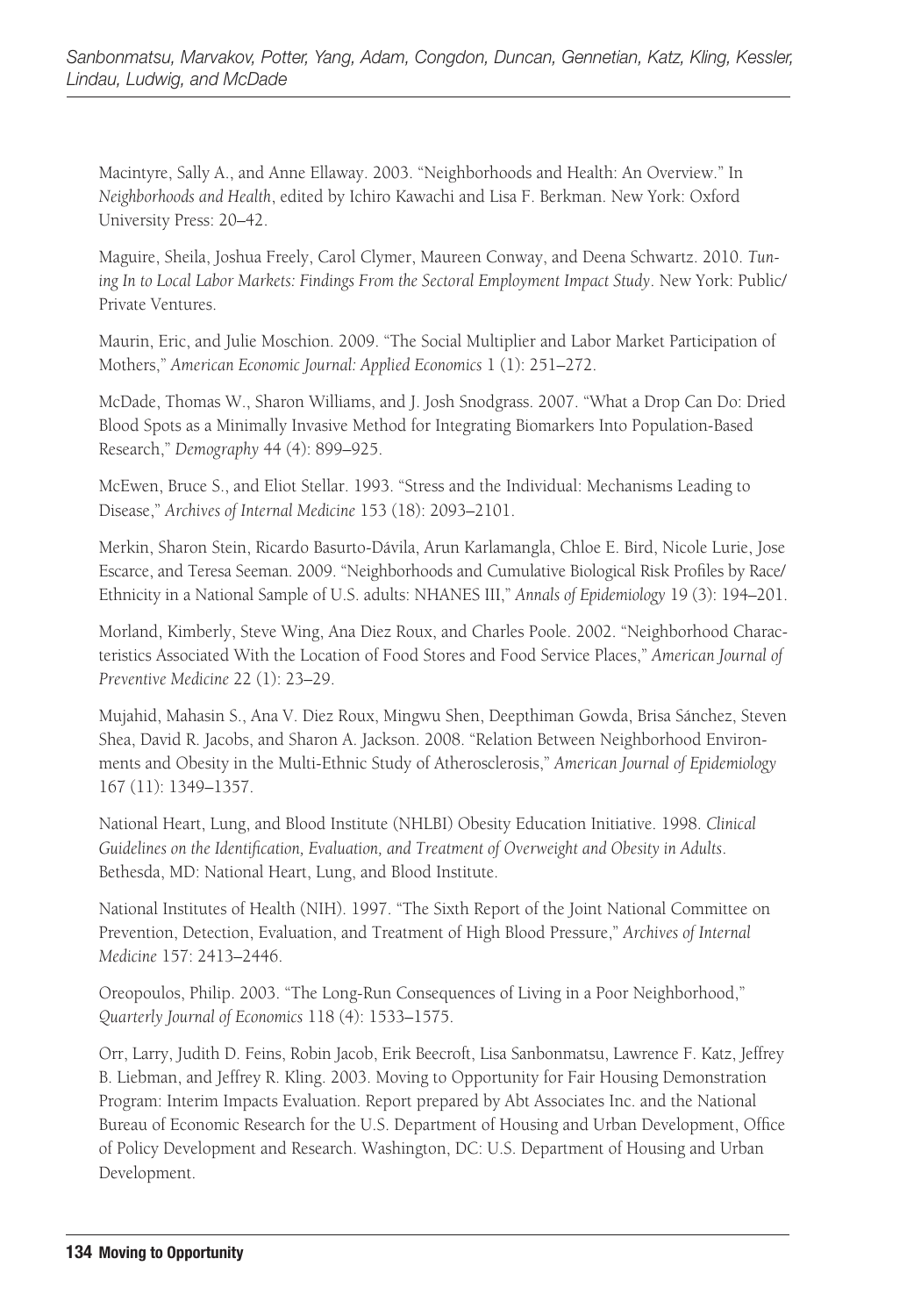Macintyre, Sally A., and Anne Ellaway. 2003. "Neighborhoods and Health: An Overview." In *Neighborhoods and Health*, edited by Ichiro Kawachi and Lisa F. Berkman. New York: Oxford University Press: 20–42.

Maguire, Sheila, Joshua Freely, Carol Clymer, Maureen Conway, and Deena Schwartz. 2010. *Tuning In to Local Labor Markets: Findings From the Sectoral Employment Impact Study*. New York: Public/ Private Ventures.

Maurin, Eric, and Julie Moschion. 2009. "The Social Multiplier and Labor Market Participation of Mothers," *American Economic Journal: Applied Economics* 1 (1): 251–272.

McDade, Thomas W., Sharon Williams, and J. Josh Snodgrass. 2007. "What a Drop Can Do: Dried Blood Spots as a Minimally Invasive Method for Integrating Biomarkers Into Population-Based Research," *Demography* 44 (4): 899–925.

McEwen, Bruce S., and Eliot Stellar. 1993. "Stress and the Individual: Mechanisms Leading to Disease," *Archives of Internal Medicine* 153 (18): 2093–2101.

Merkin, Sharon Stein, Ricardo Basurto-Dávila, Arun Karlamangla, Chloe E. Bird, Nicole Lurie, Jose Escarce, and Teresa Seeman. 2009. "Neighborhoods and Cumulative Biological Risk Profiles by Race/ Ethnicity in a National Sample of U.S. adults: NHANES III," *Annals of Epidemiology* 19 (3): 194–201.

Morland, Kimberly, Steve Wing, Ana Diez Roux, and Charles Poole. 2002. "Neighborhood Characteristics Associated With the Location of Food Stores and Food Service Places," *American Journal of Preventive Medicine* 22 (1): 23–29.

Mujahid, Mahasin S., Ana V. Diez Roux, Mingwu Shen, Deepthiman Gowda, Brisa Sánchez, Steven Shea, David R. Jacobs, and Sharon A. Jackson. 2008. "Relation Between Neighborhood Environments and Obesity in the Multi-Ethnic Study of Atherosclerosis," *American Journal of Epidemiology* 167 (11): 1349–1357.

National Heart, Lung, and Blood Institute (NHLBI) Obesity Education Initiative. 1998. *Clinical Guidelines on the Identification, Evaluation, and Treatment of Overweight and Obesity in Adults*. Bethesda, MD: National Heart, Lung, and Blood Institute.

National Institutes of Health (NIH). 1997. "The Sixth Report of the Joint National Committee on Prevention, Detection, Evaluation, and Treatment of High Blood Pressure," *Archives of Internal Medicine* 157: 2413–2446.

Oreopoulos, Philip. 2003. "The Long-Run Consequences of Living in a Poor Neighborhood," *Quarterly Journal of Economics* 118 (4): 1533–1575.

Orr, Larry, Judith D. Feins, Robin Jacob, Erik Beecroft, Lisa Sanbonmatsu, Lawrence F. Katz, Jeffrey B. Liebman, and Jeffrey R. Kling. 2003. Moving to Opportunity for Fair Housing Demonstration Program: Interim Impacts Evaluation. Report prepared by Abt Associates Inc. and the National Bureau of Economic Research for the U.S. Department of Housing and Urban Development, Office of Policy Development and Research. Washington, DC: U.S. Department of Housing and Urban Development.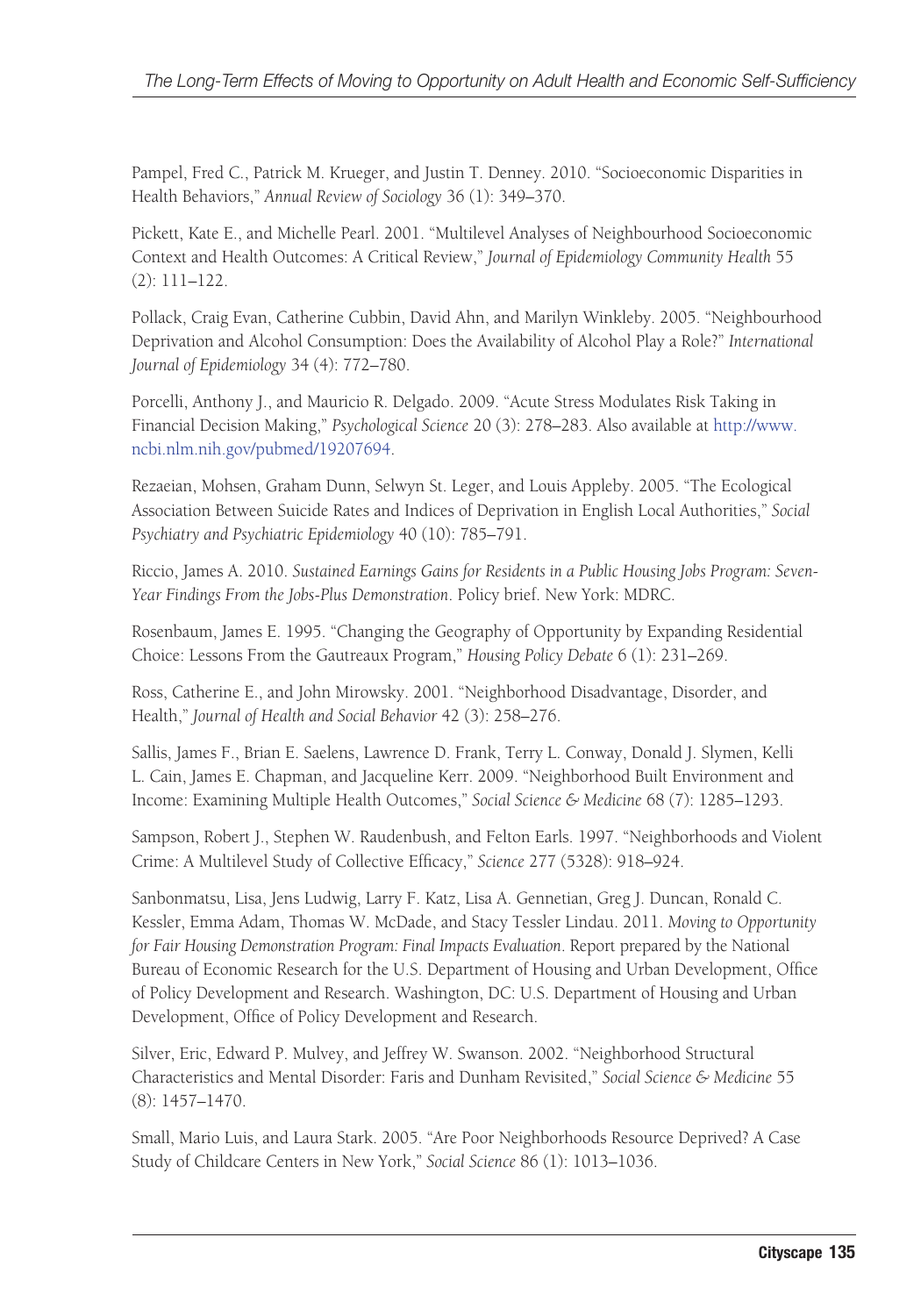Pampel, Fred C., Patrick M. Krueger, and Justin T. Denney. 2010. "Socioeconomic Disparities in Health Behaviors," *Annual Review of Sociology* 36 (1): 349–370.

Pickett, Kate E., and Michelle Pearl. 2001. "Multilevel Analyses of Neighbourhood Socioeconomic Context and Health Outcomes: A Critical Review," *Journal of Epidemiology Community Health* 55 (2): 111–122.

Pollack, Craig Evan, Catherine Cubbin, David Ahn, and Marilyn Winkleby. 2005. "Neighbourhood Deprivation and Alcohol Consumption: Does the Availability of Alcohol Play a Role?" *International Journal of Epidemiology* 34 (4): 772–780.

Porcelli, Anthony J., and Mauricio R. Delgado. 2009. "Acute Stress Modulates Risk Taking in Financial Decision Making," *Psychological Science* 20 (3): 278–283. Also available at [http://www.](http://www.ncbi.nlm.nih.gov/pubmed/19207694) [ncbi.nlm.nih.gov/pubmed/19207694.](http://www.ncbi.nlm.nih.gov/pubmed/19207694)

Rezaeian, Mohsen, Graham Dunn, Selwyn St. Leger, and Louis Appleby. 2005. "The Ecological Association Between Suicide Rates and Indices of Deprivation in English Local Authorities," *Social Psychiatry and Psychiatric Epidemiology* 40 (10): 785–791.

Riccio, James A. 2010. *Sustained Earnings Gains for Residents in a Public Housing Jobs Program: Seven-Year Findings From the Jobs-Plus Demonstration*. Policy brief. New York: MDRC.

Rosenbaum, James E. 1995. "Changing the Geography of Opportunity by Expanding Residential Choice: Lessons From the Gautreaux Program," *Housing Policy Debate* 6 (1): 231–269.

Ross, Catherine E., and John Mirowsky. 2001. "Neighborhood Disadvantage, Disorder, and Health," *Journal of Health and Social Behavior* 42 (3): 258–276.

Sallis, James F., Brian E. Saelens, Lawrence D. Frank, Terry L. Conway, Donald J. Slymen, Kelli L. Cain, James E. Chapman, and Jacqueline Kerr. 2009. "Neighborhood Built Environment and Income: Examining Multiple Health Outcomes," *Social Science & Medicine* 68 (7): 1285–1293.

Sampson, Robert J., Stephen W. Raudenbush, and Felton Earls. 1997. "Neighborhoods and Violent Crime: A Multilevel Study of Collective Efficacy," *Science* 277 (5328): 918–924.

Sanbonmatsu, Lisa, Jens Ludwig, Larry F. Katz, Lisa A. Gennetian, Greg J. Duncan, Ronald C. Kessler, Emma Adam, Thomas W. McDade, and Stacy Tessler Lindau. 2011. *Moving to Opportunity for Fair Housing Demonstration Program: Final Impacts Evaluation*. Report prepared by the National Bureau of Economic Research for the U.S. Department of Housing and Urban Development, Office of Policy Development and Research. Washington, DC: U.S. Department of Housing and Urban Development, Office of Policy Development and Research.

Silver, Eric, Edward P. Mulvey, and Jeffrey W. Swanson. 2002. "Neighborhood Structural Characteristics and Mental Disorder: Faris and Dunham Revisited," *Social Science & Medicine* 55 (8): 1457–1470.

Small, Mario Luis, and Laura Stark. 2005. "Are Poor Neighborhoods Resource Deprived? A Case Study of Childcare Centers in New York," *Social Science* 86 (1): 1013–1036.